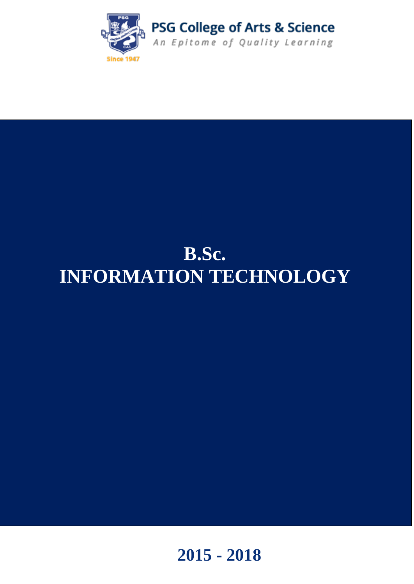

# **B.Sc. INFORMATION TECHNOLOGY**

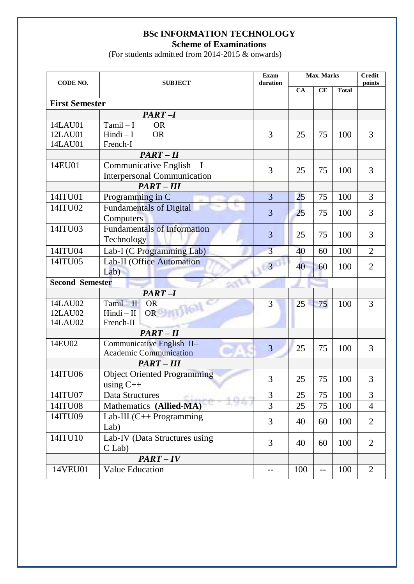# **BSc INFORMATION TECHNOLOGY**

**Scheme of Examinations**

(For students admitted from 2014-2015 & onwards)

| CODE NO.               | <b>SUBJECT</b>                     | <b>Exam</b><br>duration | <b>Max. Marks</b> |     |              | <b>Credit</b><br>points |
|------------------------|------------------------------------|-------------------------|-------------------|-----|--------------|-------------------------|
|                        |                                    |                         | CA                | CE  | <b>Total</b> |                         |
| <b>First Semester</b>  |                                    |                         |                   |     |              |                         |
|                        | $PART-I$                           |                         |                   |     |              |                         |
| 14LAU01                | $Tamil-I$<br><b>OR</b>             |                         |                   |     |              |                         |
| 12LAU01                | $Hindi - I$<br><b>OR</b>           | 3                       | 25                | 75  | 100          | 3                       |
| 14LAU01                | French-I                           |                         |                   |     |              |                         |
|                        | $PART-II$                          |                         |                   |     |              |                         |
| 14EU01                 | Communicative English $-I$         | 3                       | 25                | 75  | 100          | 3                       |
|                        | <b>Interpersonal Communication</b> |                         |                   |     |              |                         |
|                        | <b>PART-III</b>                    |                         |                   |     |              |                         |
| 14ITU01                | Programming in C                   | $\overline{3}$          | 25                | 75  | 100          | $\overline{3}$          |
| 14ITU02                | <b>Fundamentals of Digital</b>     | $\overline{3}$          | 25                | 75  | 100          | 3                       |
|                        | Computers                          |                         |                   |     |              |                         |
| 14ITU03                | <b>Fundamentals of Information</b> | 3                       |                   |     |              | 3                       |
|                        | Technology                         |                         | 25                | 75  | 100          |                         |
| 14ITU04                | Lab-I (C Programming Lab)          | $\overline{3}$          | 40                | 60  | 100          | $\overline{2}$          |
| 14ITU05                | Lab-II (Office Automation          |                         |                   |     |              |                         |
|                        | Lab)                               | $\overline{\mathbf{3}}$ | 40                | 60  | 100          | $\overline{2}$          |
| <b>Second Semester</b> |                                    |                         |                   |     |              |                         |
|                        | $PART-I$                           |                         |                   |     |              |                         |
| 14LAU02                | $Tamil - II$<br><b>OR</b>          | 3                       | 25                | 75  | 100          | 3                       |
| 12LAU02                | OR ONLY DELL<br>$Hindi - II$       |                         |                   |     |              |                         |
| 14LAU02                | French-II                          |                         |                   |     |              |                         |
|                        | $PART-II$                          |                         |                   |     |              |                         |
| 14EU02                 | Communicative English II-          | $\overline{3}$          | 25                | 75  | 100          | 3                       |
|                        | <b>Academic Communication</b>      |                         |                   |     |              |                         |
|                        | <b>PART-III</b>                    |                         |                   |     |              |                         |
| 14ITU06                | <b>Object Oriented Programming</b> | 3                       | 25                | 75  | 100          | 3                       |
|                        | using $C++$                        |                         |                   |     |              |                         |
| 14ITU07                | Data Structures                    | 3                       | 25                | 75  | 100          | 3                       |
| 14ITU08                | Mathematics (Allied-MA)            | $\overline{3}$          | 25                | 75  | 100          | $\overline{4}$          |
| 14ITU09                | Lab-III $(C++$ Programming         | 3                       | 40                | 60  | 100          | $\overline{2}$          |
|                        | Lab)                               |                         |                   |     |              |                         |
| 14ITU10                | Lab-IV (Data Structures using      | 3                       |                   |     | 100          | $\overline{2}$          |
|                        | $C$ Lab)                           |                         | 40                | 60  |              |                         |
|                        | $PART - IV$                        |                         |                   |     |              |                         |
| 14VEU01                | <b>Value Education</b>             |                         | 100               | $-$ | 100          | $\overline{2}$          |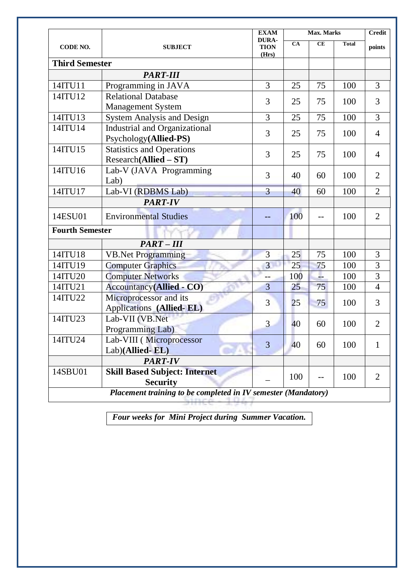| CODE NO.               | <b>SUBJECT</b>                                                | <b>EXAM</b>                          | <b>Max. Marks</b> | <b>Credit</b> |              |                |
|------------------------|---------------------------------------------------------------|--------------------------------------|-------------------|---------------|--------------|----------------|
|                        |                                                               | <b>DURA-</b><br><b>TION</b><br>(Hrs) | <b>CA</b>         | <b>CE</b>     | <b>Total</b> | points         |
| <b>Third Semester</b>  |                                                               |                                      |                   |               |              |                |
|                        | <b>PART-III</b>                                               |                                      |                   |               |              |                |
| 14ITU11                | Programming in JAVA                                           | $\overline{3}$                       | 25                | 75            | 100          | 3              |
| 14ITU12                | <b>Relational Database</b>                                    | 3                                    | 25                | 75            | 100          | 3              |
|                        | <b>Management System</b>                                      |                                      |                   |               |              |                |
| 14ITU13                | <b>System Analysis and Design</b>                             | $\overline{3}$                       | 25                | 75            | 100          | $\overline{3}$ |
| 14ITU14                | <b>Industrial and Organizational</b><br>Psychology(Allied-PS) | 3                                    | 25                | 75            | 100          | $\overline{4}$ |
| 14ITU15                | <b>Statistics and Operations</b><br>$Research(Allied - ST)$   | 3                                    | 25                | 75            | 100          | $\overline{4}$ |
| 14ITU16                | Lab-V (JAVA Programming<br>Lab)                               | $\overline{3}$                       | 40                | 60            | 100          | $\overline{2}$ |
| 14ITU17                | Lab-VI (RDBMS Lab)                                            | $\overline{3}$                       | 40                | 60            | 100          | $\overline{2}$ |
|                        | <b>PART-IV</b>                                                |                                      |                   |               |              |                |
| 14ESU01                | <b>Environmental Studies</b>                                  |                                      | 100               | --            | 100          | $\overline{2}$ |
| <b>Fourth Semester</b> |                                                               |                                      |                   |               |              |                |
|                        | <b>PART-III</b>                                               |                                      |                   |               |              |                |
| 14ITU18                | <b>VB.Net Programming</b>                                     | $\overline{3}$                       | 25                | 75            | 100          | 3              |
| 14ITU19                | <b>Computer Graphics</b>                                      | $\overline{3}$                       | 25                | 75            | 100          | 3              |
| 14ITU20                | <b>Computer Networks</b>                                      | --                                   | 100               | L             | 100          | $\overline{3}$ |
| 14ITU21                | <b>Accountancy(Allied - CO)</b>                               | $\overline{3}$                       | 25                | 75            | 100          | $\overline{4}$ |
| 14ITU22                | Microprocessor and its<br>Applications (Allied-EL)            | 3                                    | 25                | 75            | 100          | 3              |
| 14ITU23                | Lab-VII (VB.Net<br>Programming Lab)                           | $\overline{3}$                       | 40                | 60            | 100          | $\overline{2}$ |
| 14ITU24                | Lab-VIII (Microprocessor<br>Lab)(Allied-EL)                   | 3                                    | 40                | 60            | 100          | 1              |
|                        | <b>PART-IV</b>                                                |                                      |                   |               |              |                |
| 14SBU01                | <b>Skill Based Subject: Internet</b><br><b>Security</b>       |                                      | 100               | --            | 100          | $\overline{2}$ |
|                        | Placement training to be completed in IV semester (Mandatory) |                                      |                   |               |              |                |

*Four weeks for Mini Project during Summer Vacation.*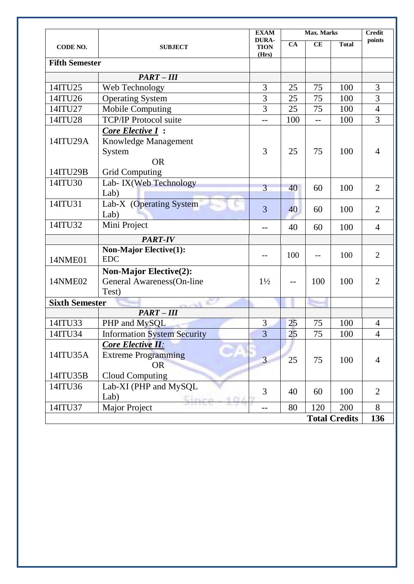|                       |                                                                        | <b>EXAM</b>                          | Max. Marks           |                |              | <b>Credit</b>  |
|-----------------------|------------------------------------------------------------------------|--------------------------------------|----------------------|----------------|--------------|----------------|
| CODE NO.              | <b>SUBJECT</b>                                                         | <b>DURA-</b><br><b>TION</b><br>(Hrs) | CA                   | CE             | <b>Total</b> | points         |
| <b>Fifth Semester</b> |                                                                        |                                      |                      |                |              |                |
|                       | $PART-III$                                                             |                                      |                      |                |              |                |
| 14ITU25               | Web Technology                                                         | 3                                    | 25                   | 75             | 100          | 3              |
| 14ITU26               | <b>Operating System</b>                                                | $\overline{3}$                       | 25                   | 75             | 100          | 3              |
| 14ITU27               | <b>Mobile Computing</b>                                                | $\overline{3}$                       | 25                   | 75             | 100          | $\overline{4}$ |
| 14ITU28               | <b>TCP/IP Protocol suite</b>                                           | $\overline{a}$                       | 100                  | $\overline{a}$ | 100          | 3              |
| 14ITU29A              | <b>Core Elective I:</b><br>Knowledge Management<br>System<br><b>OR</b> | 3                                    | 25                   | 75             | 100          | 4              |
| 14ITU29B              | <b>Grid Computing</b>                                                  |                                      |                      |                |              |                |
| 14ITU30               | Lab- IX(Web Technology<br>Lab)                                         | 3                                    | 40                   | 60             | 100          | $\overline{2}$ |
| 14ITU31               | Lab-X (Operating System<br>Lab)                                        | 3                                    | 40                   | 60             | 100          | $\overline{2}$ |
| 14ITU32               | Mini Project                                                           |                                      | 40                   | 60             | 100          | $\overline{4}$ |
|                       | <b>PART-IV</b>                                                         |                                      |                      |                |              |                |
| 14NME01               | <b>Non-Major Elective(1):</b><br><b>EDC</b>                            | $-$                                  | 100                  | $-$            | 100          | $\overline{2}$ |
| 14NME02               | <b>Non-Major Elective(2):</b><br>General Awareness(On-line<br>Test)    | $1\frac{1}{2}$                       |                      | 100            | 100          | $\overline{2}$ |
| <b>Sixth Semester</b> |                                                                        |                                      |                      |                |              |                |
|                       | $PART-III$                                                             |                                      |                      |                |              |                |
| 14ITU33               | PHP and MySQL                                                          | 3                                    | 25                   | 75             | 100          | 4              |
| 14ITU34               | <b>Information System Security</b>                                     | $\overline{3}$                       | 25                   | 75             | 100          | $\overline{4}$ |
| 14ITU35A              | <b>Core Elective II:</b><br><b>Extreme Programming</b><br><b>OR</b>    | 3                                    | 25                   | 75             | 100          | 4              |
| 14ITU35B              | Cloud Computing                                                        |                                      |                      |                |              |                |
| 14ITU36               | Lab-XI (PHP and MySQL<br>Lab)                                          | 3                                    | 40                   | 60             | 100          | $\overline{2}$ |
| 14ITU37               | <b>Major Project</b>                                                   |                                      | 80                   | 120            | 200          | 8              |
|                       |                                                                        |                                      | <b>Total Credits</b> |                |              |                |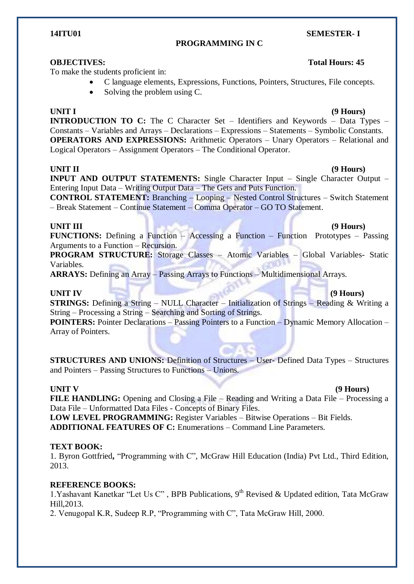# **PROGRAMMING IN C**

To make the students proficient in:

- C language elements, Expressions, Functions, Pointers, Structures, File concepts.
- Solving the problem using C.

# **UNIT I (9 Hours)**

**INTRODUCTION TO C:** The C Character Set – Identifiers and Keywords – Data Types – Constants – Variables and Arrays – Declarations – Expressions – Statements – Symbolic Constants. **OPERATORS AND EXPRESSIONS:** Arithmetic Operators – Unary Operators – Relational and Logical Operators – Assignment Operators – The Conditional Operator.

### **UNIT II (9 Hours)**

**INPUT AND OUTPUT STATEMENTS:** Single Character Input – Single Character Output – Entering Input Data – Writing Output Data – The Gets and Puts Function.

**CONTROL STATEMENT:** Branching – Looping – Nested Control Structures – Switch Statement – Break Statement – Continue Statement – Comma Operator – GO TO Statement.

### **UNIT III** (9 Hours)

**FUNCTIONS:** Defining a Function – Accessing a Function – Function Prototypes – Passing Arguments to a Function – Recursion.

**PROGRAM STRUCTURE:** Storage Classes – Atomic Variables – Global Variables- Static Variables.

**ARRAYS:** Defining an Array – Passing Arrays to Functions – Multidimensional Arrays.

**STRINGS:** Defining a String – NULL Character – Initialization of Strings – Reading & Writing a String – Processing a String – Searching and Sorting of Strings.

**POINTERS:** Pointer Declarations – Passing Pointers to a Function – Dynamic Memory Allocation – Array of Pointers.

**STRUCTURES AND UNIONS:** Definition of Structures – User- Defined Data Types – Structures and Pointers – Passing Structures to Functions – Unions.

#### **UNIT V (9 Hours)**

**FILE HANDLING:** Opening and Closing a File – Reading and Writing a Data File – Processing a Data File – Unformatted Data Files - Concepts of Binary Files.

**LOW LEVEL PROGRAMMING:** Register Variables – Bitwise Operations – Bit Fields. **ADDITIONAL FEATURES OF C:** Enumerations – Command Line Parameters.

### **TEXT BOOK:**

1. Byron Gottfried**,** "Programming with C", McGraw Hill Education (India) Pvt Ltd., Third Edition, 2013.

### **REFERENCE BOOKS:**

1. Yashavant Kanetkar "Let Us C", BPB Publications, 9<sup>th</sup> Revised & Updated edition, Tata McGraw Hill,2013.

2. Venugopal K.R, Sudeep R.P, "Programming with C", Tata McGraw Hill, 2000.

#### **14ITU01** SEMESTER- I

# **OBJECTIVES:** Total Hours: 45

# **UNIT IV** (9 Hours)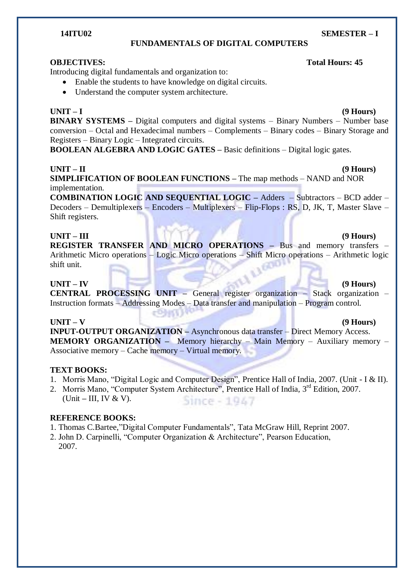### **FUNDAMENTALS OF DIGITAL COMPUTERS**

### **OBJECTIVES: Total Hours: 45**

Introducing digital fundamentals and organization to:

Enable the students to have knowledge on digital circuits.

eDhitt

Understand the computer system architecture.

**BINARY SYSTEMS –** Digital computers and digital systems – Binary Numbers – Number base conversion – Octal and Hexadecimal numbers – Complements – Binary codes – Binary Storage and Registers – Binary Logic – Integrated circuits.

**BOOLEAN ALGEBRA AND LOGIC GATES –** Basic definitions – Digital logic gates.

## **UNIT – II (9 Hours)**

**SIMPLIFICATION OF BOOLEAN FUNCTIONS –** The map methods – NAND and NOR implementation.

**COMBINATION LOGIC AND SEQUENTIAL LOGIC –** Adders – Subtractors – BCD adder – Decoders – Demultiplexers – Encoders – Multiplexers – Flip-Flops : RS, D, JK, T, Master Slave – Shift registers.

### **UNIT – III (9 Hours)**

**REGISTER TRANSFER AND MICRO OPERATIONS –** Bus and memory transfers – Arithmetic Micro operations – Logic Micro operations – Shift Micro operations – Arithmetic logic shift unit. shift unit.

## **UNIT – IV (9 Hours)**

**CENTRAL PROCESSING UNIT –** General register organization – Stack organization – Instruction formats – Addressing Modes – Data transfer and manipulation – Program control.

### **UNIT – V (9 Hours)**

**INPUT-OUTPUT ORGANIZATION –** Asynchronous data transfer – Direct Memory Access. **MEMORY ORGANIZATION –** Memory hierarchy – Main Memory – Auxiliary memory – Associative memory – Cache memory – Virtual memory.

### **TEXT BOOKS:**

- 1. Morris Mano, "Digital Logic and Computer Design", Prentice Hall of India, 2007. (Unit I & II).
- 2. Morris Mano, "Computer System Architecture", Prentice Hall of India, 3<sup>rd</sup> Edition, 2007. (Unit **–** III, IV & V). Since - 1947

### **REFERENCE BOOKS:**

- 1. Thomas C.Bartee,"Digital Computer Fundamentals", Tata McGraw Hill, Reprint 2007.
- 2. John D. Carpinelli, "Computer Organization & Architecture", Pearson Education, 2007.

#### **14ITU02 SEMESTER – I**

# **UNIT – I (9 Hours)**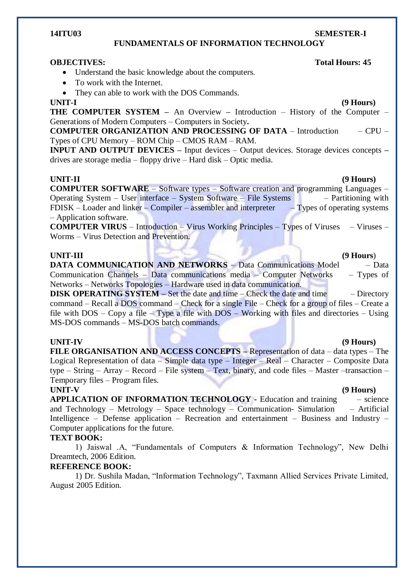### **FUNDAMENTALS OF INFORMATION TECHNOLOGY**

#### **OBJECTIVES:** Total Hours: 45

- Understand the basic knowledge about the computers.
- To work with the Internet.
- They can able to work with the DOS Commands.

**THE COMPUTER SYSTEM –** An Overview **–** Introduction – History of the Computer – Generations of Modern Computers – Computers in Society**.**

**COMPUTER ORGANIZATION AND PROCESSING OF DATA** – Introduction – CPU – Types of CPU Memory – ROM Chip – CMOS RAM – RAM.

**INPUT AND OUTPUT DEVICES –** Input devices – Output devices. Storage devices concepts **–** drives are storage media – floppy drive – Hard disk – Optic media.

#### **UNIT-II (9 Hours)**

**COMPUTER SOFTWARE** – Software types – Software creation and programming Languages – Operating System – User interface – System Software – File Systems – Partitioning with FDISK – Loader and linker – Compiler – assembler and interpreter – Types of operating systems – Application software.

**COMPUTER VIRUS** – Introduction – Virus Working Principles – Types of Viruses – Viruses – Worms – Virus Detection and Prevention.

### **UNIT-III (9 Hours**)

**DATA COMMUNICATION AND NETWORKS** – Data Communications Model – Data Communication Channels – Data communications media – Computer Networks – Types of Networks – Networks Topologies – Hardware used in data communication.

**DISK OPERATING SYSTEM –** Set the date and time – Check the date and time – Directory command – Recall a DOS command – Check for a single File – Check for a group of files – Create a file with DOS – Copy a file – Type a file with DOS – Working with files and directories – Using MS-DOS commands – MS-DOS batch commands.

#### **UNIT-IV (9 Hours)**

**FILE ORGANISATION AND ACCESS CONCEPTS –** Representation of data – data types – The Logical Representation of data – Simple data type – Integer – Real – Character – Composite Data type – String – Array – Record – File system – Text, binary, and code files – Master –transaction – Temporary files – Program files.

**UNIT-V (9 Hours) APPLICATION OF INFORMATION TECHNOLOGY -** Education and training – science and Technology – Metrology – Space technology – Communication- Simulation – Artificial Intelligence – Defense application – Recreation and entertainment – Business and Industry – Computer applications for the future.

### **TEXT BOOK:**

1) Jaiswal .A, "Fundamentals of Computers & Information Technology", New Delhi Dreamtech, 2006 Edition.

### **REFERENCE BOOK:**

1) Dr. Sushila Madan, "Information Technology", Taxmann Allied Services Private Limited, August 2005 Edition.

# **UNIT-I (9 Hours)**

# **14ITU03 SEMESTER-I**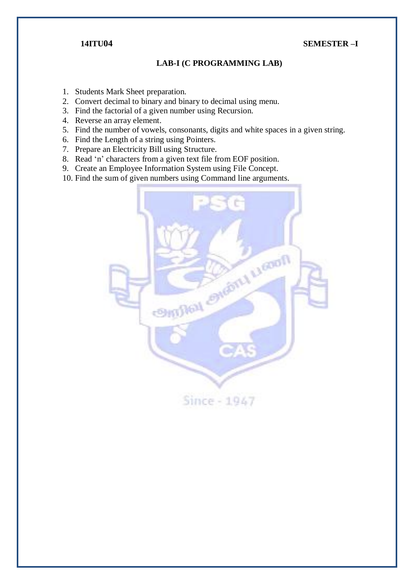# **14ITU04 SEMESTER –I**

## **LAB-I (C PROGRAMMING LAB)**

- 1. Students Mark Sheet preparation.
- 2. Convert decimal to binary and binary to decimal using menu.
- 3. Find the factorial of a given number using Recursion.
- 4. Reverse an array element.
- 5. Find the number of vowels, consonants, digits and white spaces in a given string.
- 6. Find the Length of a string using Pointers.
- 7. Prepare an Electricity Bill using Structure.
- 8. Read 'n' characters from a given text file from EOF position.
- 9. Create an Employee Information System using File Concept.
- 10. Find the sum of given numbers using Command line arguments.

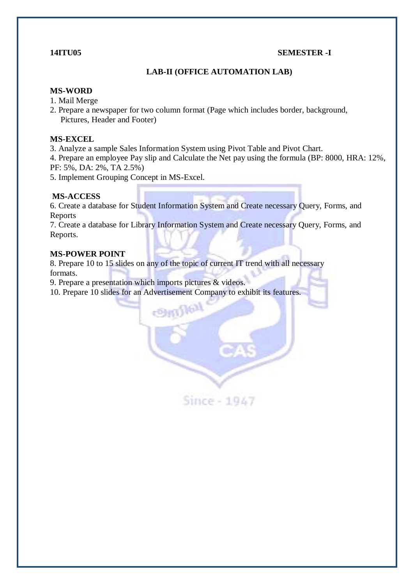### **14ITU05 SEMESTER -I**

# **LAB-II (OFFICE AUTOMATION LAB)**

### **MS-WORD**

- 1. Mail Merge
- 2. Prepare a newspaper for two column format (Page which includes border, background, Pictures, Header and Footer)

### **MS-EXCEL**

3. Analyze a sample Sales Information System using Pivot Table and Pivot Chart.

4. Prepare an employee Pay slip and Calculate the Net pay using the formula (BP: 8000, HRA: 12%, PF: 5%, DA: 2%, TA 2.5%)

5. Implement Grouping Concept in MS-Excel.

### **MS-ACCESS**

6. Create a database for Student Information System and Create necessary Query, Forms, and Reports

7. Create a database for Library Information System and Create necessary Query, Forms, and Reports.

### **MS-POWER POINT**

8. Prepare 10 to 15 slides on any of the topic of current IT trend with all necessary formats.

leg

Since - 1947

9. Prepare a presentation which imports pictures & videos.

10. Prepare 10 slides for an Advertisement Company to exhibit its features.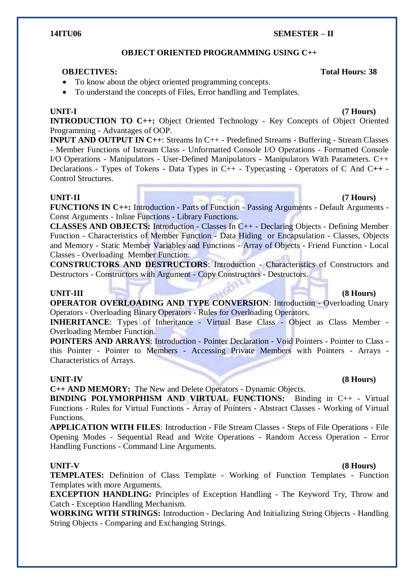### **OBJECT ORIENTED PROGRAMMING USING C++**

### **OBJECTIVES: Total Hours: 38**

• To know about the object oriented programming concepts.

To understand the concepts of Files, Error handling and Templates.

**14ITU06 SEMESTER – II**

#### **UNIT-I (7 Hours)**

**INTRODUCTION TO C++:** Object Oriented Technology - Key Concepts of Object Oriented Programming - Advantages of OOP.

**INPUT AND OUTPUT IN C++**: Streams In C++ - Predefined Streams - Buffering - Stream Classes - Member Functions of Istream Class - Unformatted Console I/O Operations - Formatted Console I/O Operations - Manipulators - User-Defined Manipulators - Manipulators With Parameters. C++ Declarations - Types of Tokens - Data Types in C++ - Typecasting - Operators of C And C**++ -** Control Structures.

#### **UNIT-II (7 Hours)**

**FUNCTIONS IN C++:** Introduction - Parts of Function - Passing Arguments - Default Arguments - Const Arguments - Inline Functions - Library Functions.

**CLASSES AND OBJECTS:** Introduction - Classes In C++ - Declaring Objects - Defining Member Function - Characteristics of Member Function - Data Hiding or Encapsulation - Classes, Objects and Memory - Static Member Variables and Functions - Array of Objects - Friend Function - Local Classes - Overloading Member Function.

**CONSTRUCTORS AND DESTRUCTORS**: Introduction - Characteristics of Constructors and Destructors - Constructors with Argument - Copy Constructors - Destructors.

#### **UNIT-III (8 Hours)**

**OPERATOR OVERLOADING AND TYPE CONVERSION**: Introduction - Overloading Unary Operators - Overloading Binary Operators - Rules for Overloading Operators.

**INHERITANCE:** Types of Inheritance - Virtual Base Class - Object as Class Member -Overloading Member Function.

**POINTERS AND ARRAYS**: Introduction - Pointer Declaration - Void Pointers - Pointer to Class this Pointer - Pointer to Members - Accessing Private Members with Pointers - Arrays - Characteristics of Arrays.

#### **UNIT-IV (8 Hours)**

**C++ AND MEMORY:** The New and Delete Operators - Dynamic Objects.

**BINDING POLYMORPHISM AND VIRTUAL FUNCTIONS:** Binding in C++ - Virtual Functions - Rules for Virtual Functions - Array of Pointers - Abstract Classes - Working of Virtual Functions.

**APPLICATION WITH FILES**: Introduction - File Stream Classes - Steps of File Operations - File Opening Modes - Sequential Read and Write Operations - Random Access Operation - Error Handling Functions - Command Line Arguments.

#### **UNIT-V (8 Hours)**

**TEMPLATES:** Definition of Class Template - Working of Function Templates - Function Templates with more Arguments.

**EXCEPTION HANDLING:** Principles of Exception Handling - The Keyword Try, Throw and Catch - Exception Handling Mechanism.

**WORKING WITH STRINGS:** Introduction - Declaring And Initializing String Objects - Handling String Objects - Comparing and Exchanging Strings.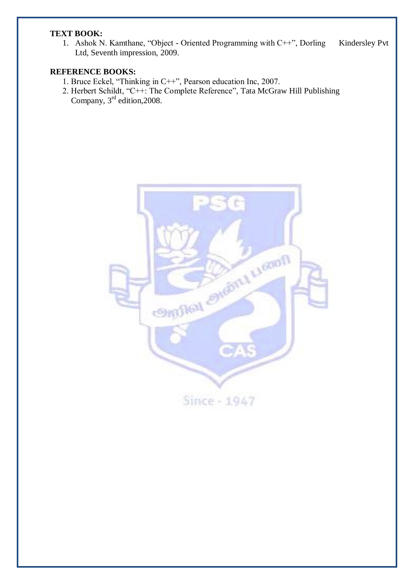### **TEXT BOOK:**

1. Ashok N. Kamthane, "Object - Oriented Programming with C++", Dorling Kindersley Pvt Ltd, Seventh impression, 2009.

### **REFERENCE BOOKS:**

- 1. Bruce Eckel, "Thinking in C++", Pearson education Inc, 2007.
- 2. Herbert Schildt, "C++: The Complete Reference", Tata McGraw Hill Publishing Company,  $3<sup>rd</sup>$  edition, 2008.

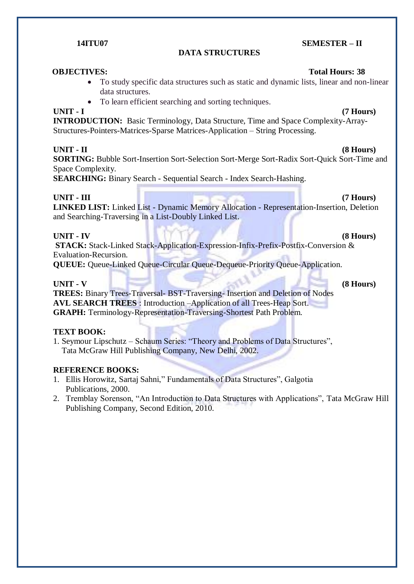### **DATA STRUCTURES**

### **OBJECTIVES:** Total Hours: 38

- To study specific data structures such as static and dynamic lists, linear and non-linear data structures.
- To learn efficient searching and sorting techniques.

#### **UNIT - I (7 Hours)**

**INTRODUCTION:** Basic Terminology, Data Structure, Time and Space Complexity-Array-Structures-Pointers-Matrices-Sparse Matrices-Application – String Processing.

### **UNIT - II (8 Hours)**

**SORTING:** Bubble Sort-Insertion Sort-Selection Sort-Merge Sort-Radix Sort-Quick Sort-Time and Space Complexity.

**SEARCHING:** Binary Search - Sequential Search - Index Search-Hashing.

### **UNIT - III (7 Hours)**

**LINKED LIST:** Linked List - Dynamic Memory Allocation - Representation-Insertion, Deletion and Searching-Traversing in a List-Doubly Linked List.

### **UNIT - IV (8 Hours)**

**STACK:** Stack-Linked Stack-Application-Expression-Infix-Prefix-Postfix-Conversion & Evaluation-Recursion.

**QUEUE:** Oueue-Linked Oueue-Circular Oueue-Dequeue-Priority Oueue-Application.

### **UNIT - V (8 Hours)**

**TREES:** Binary Trees-Traversal- BST-Traversing- Insertion and Deletion of Nodes **AVL SEARCH TREES** : Introduction –Application of all Trees-Heap Sort. **GRAPH:** Terminology-Representation-Traversing-Shortest Path Problem.

#### **TEXT BOOK:**

1. Seymour Lipschutz – Schaum Series: "Theory and Problems of Data Structures", Tata McGraw Hill Publishing Company, New Delhi, 2002.

### **REFERENCE BOOKS:**

- 1. Ellis Horowitz, Sartaj Sahni," Fundamentals of Data Structures", Galgotia Publications, 2000.
- 2. Tremblay Sorenson, "An Introduction to Data Structures with Applications", Tata McGraw Hill Publishing Company, Second Edition, 2010.

#### **14ITU07 SEMESTER – II**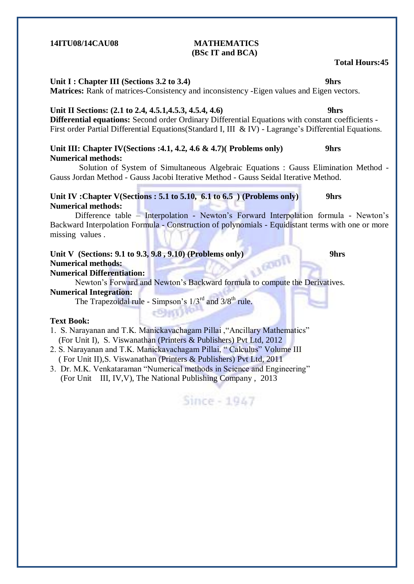### **14ITU08/14CAU08 MATHEMATICS (BSc IT and BCA)**

# **Unit I : Chapter III (Sections 3.2 to 3.4) 9hrs**

**Matrices:** Rank of matrices-Consistency and inconsistency -Eigen values and Eigen vectors.

# Unit II Sections: (2.1 to 2.4, 4.5.1, 4.5.3, 4.5.4, 4.6) 9hrs

**Differential equations:** Second order Ordinary Differential Equations with constant coefficients - First order Partial Differential Equations (Standard I, III & IV) - Lagrange's Differential Equations.

### **Unit III: Chapter IV(Sections :4.1, 4.2, 4.6 & 4.7)( Problems only) 9hrs Numerical methods:**

 Solution of System of Simultaneous Algebraic Equations : Gauss Elimination Method - Gauss Jordan Method - Gauss Jacobi Iterative Method - Gauss Seidal Iterative Method.

## **Unit IV :Chapter V(Sections : 5.1 to 5.10, 6.1 to 6.5 ) (Problems only) 9hrs Numerical methods:**

Difference table – Interpolation - Newton's Forward Interpolation formula - Newton's Backward Interpolation Formula - Construction of polynomials - Equidistant terms with one or more missing values .

# Unit V (Sections: 9.1 to 9.3, 9.8 , 9.10) **(Problems only)** 9hrs <br>Numerical methods: <br>Numerical Differentiation **Numerical methods:**

### **Numerical Differentiation:**

Newton"s Forward and Newton"s Backward formula to compute the Derivatives.

## **Numerical Integration:**

The Trapezoidal rule - Simpson's  $1/3^{rd}$  and  $3/8^{th}$  rule.

### **Text Book:**

1. S. Narayanan and T.K. Manickavachagam Pillai ,"Ancillary Mathematics" (For Unit I), S. Viswanathan (Printers & Publishers) Pvt Ltd, 2012

- 2. S. Narayanan and T.K. Manickavachagam Pillai, " Calculus" Volume III ( For Unit II),S. Viswanathan (Printers & Publishers) Pvt Ltd, 2011
- 3. Dr. M.K. Venkataraman "Numerical methods in Science and Engineering" (For Unit III, IV,V), The National Publishing Company , 2013

Since - 1947

### **Total Hours:45**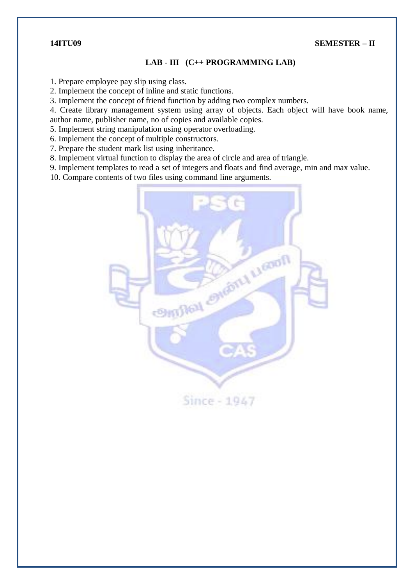### **14ITU09 SEMESTER – II**

### **LAB - III (C++ PROGRAMMING LAB)**

1. Prepare employee pay slip using class.

2. Implement the concept of inline and static functions.

3. Implement the concept of friend function by adding two complex numbers.

4. Create library management system using array of objects. Each object will have book name, author name, publisher name, no of copies and available copies.

5. Implement string manipulation using operator overloading.

6. Implement the concept of multiple constructors.

7. Prepare the student mark list using inheritance.

8. Implement virtual function to display the area of circle and area of triangle.

9. Implement templates to read a set of integers and floats and find average, min and max value.

10. Compare contents of two files using command line arguments.

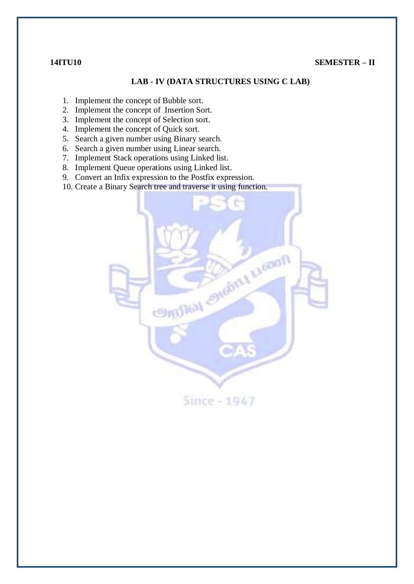### **14ITU10 SEMESTER – II**

## **LAB - IV (DATA STRUCTURES USING C LAB)**

- 1. Implement the concept of Bubble sort.
- 2. Implement the concept of Insertion Sort.
- 3. Implement the concept of Selection sort.
- 4. Implement the concept of Quick sort.
- 5. Search a given number using Binary search.
- 6. Search a given number using Linear search.
- 7. Implement Stack operations using Linked list.
- 8. Implement Queue operations using Linked list.
- 9. Convert an Infix expression to the Postfix expression.
- 10. Create a Binary Search tree and traverse it using function.

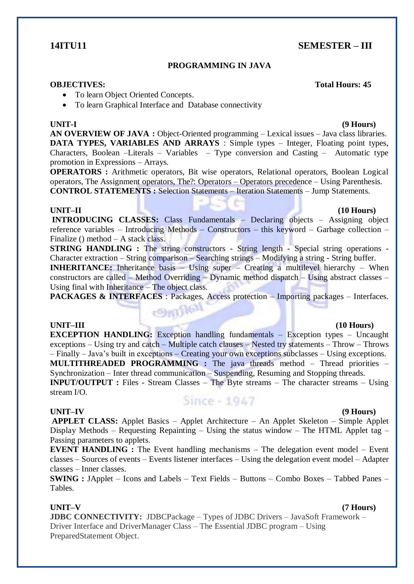# **14ITU11 SEMESTER – III**

## **PROGRAMMING IN JAVA**

#### **OBJECTIVES: Total Hours: 45**

- To learn Object Oriented Concepts.
- To learn Graphical Interface and Database connectivity

**AN OVERVIEW OF JAVA :** Object-Oriented programming – Lexical issues – Java class libraries. **DATA TYPES, VARIABLES AND ARRAYS** : Simple types – Integer, Floating point types, Characters, Boolean –Literals – Variables – Type conversion and Casting – Automatic type promotion in Expressions – Arrays.

**OPERATORS** : Arithmetic operators, Bit wise operators, Relational operators, Boolean Logical operators, The Assignment operators, The?: Operators – Operators precedence – Using Parenthesis. **CONTROL STATEMENTS :** Selection Statements – Iteration Statements – Jump Statements.

#### **UNIT–II (10 Hours)**

**INTRODUCING CLASSES:** Class Fundamentals – Declaring objects – Assigning object reference variables – Introducing Methods – Constructors – this keyword – Garbage collection – Finalize () method – A stack class.

**STRING HANDLING** : The string constructors - String length - Special string operations -Character extraction – String comparison – Searching strings – Modifying a string - String buffer.

**INHERITANCE:** Inheritance basis – Using super – Creating a multilevel hierarchy – When constructors are called – Method Overriding – Dynamic method dispatch – Using abstract classes – Using final with Inheritance – The object class.

**PACKAGES & INTERFACES** : Packages, Access protection – Importing packages – Interfaces.

**Continued** 

#### **UNIT–III (10 Hours)**

**EXCEPTION HANDLING:** Exception handling fundamentals – Exception types – Uncaught exceptions – Using try and catch – Multiple catch clauses – Nested try statements – Throw – Throws – Finally – Java"s built in exceptions – Creating your own exceptions subclasses – Using exceptions. **MULTITHREADED PROGRAMMING :** The java threads method – Thread priorities – Synchronization – Inter thread communication – Suspending, Resuming and Stopping threads. **INPUT/OUTPUT :** Files - Stream Classes – The Byte streams – The character streams – Using stream I/O.

#### **UNIT–IV (9 Hours)**

# Since - 1947

**APPLET CLASS:** Applet Basics – Applet Architecture – An Applet Skeleton – Simple Applet Display Methods – Requesting Repainting – Using the status window – The HTML Applet tag – Passing parameters to applets.

**EVENT HANDLING** : The Event handling mechanisms – The delegation event model – Event classes – Sources of events – Events listener interfaces – Using the delegation event model – Adapter classes – Inner classes.

**SWING :** JApplet – Icons and Labels – Text Fields – Buttons – Combo Boxes – Tabbed Panes – Tables.

**UNIT–V (7 Hours)**

**JDBC CONNECTIVITY:** JDBCPackage – Types of JDBC Drivers – JavaSoft Framework – Driver Interface and DriverManager Class – The Essential JDBC program – Using PreparedStatement Object.

# **UNIT-I (9 Hours)**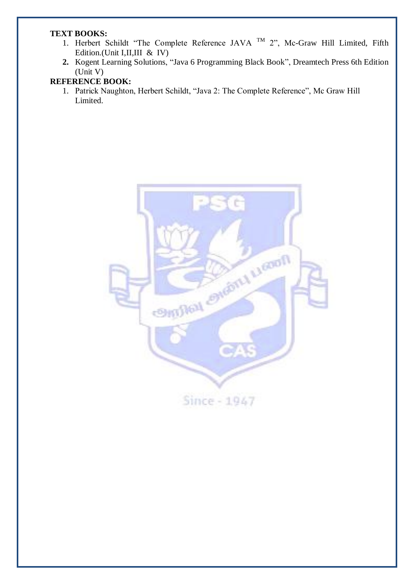### **TEXT BOOKS:**

- 1. Herbert Schildt "The Complete Reference JAVA  $TM$  2", Mc-Graw Hill Limited, Fifth Edition.(Unit I,II,III & IV)
- **2.** Kogent Learning Solutions, "Java 6 Programming Black Book", Dreamtech Press 6th Edition (Unit V)

# **REFERENCE BOOK:**

1. Patrick Naughton, Herbert Schildt, "Java 2: The Complete Reference", Mc Graw Hill Limited.

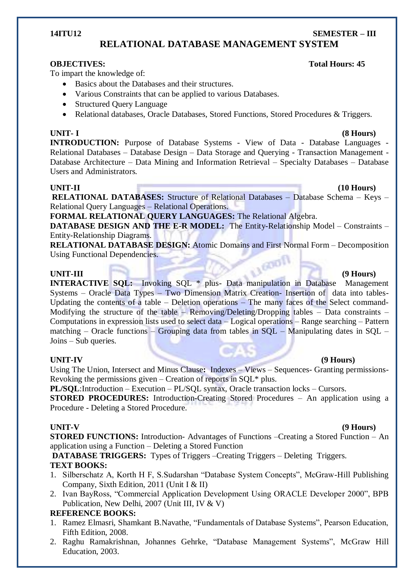#### **14ITU12 SEMESTER – III**

# **RELATIONAL DATABASE MANAGEMENT SYSTEM**

To impart the knowledge of:

- Basics about the Databases and their structures.
- Various Constraints that can be applied to various Databases.
- Structured Ouery Language
- Relational databases, Oracle Databases, Stored Functions, Stored Procedures & Triggers.

### **UNIT- I (8 Hours)**

**INTRODUCTION:** Purpose of Database Systems - View of Data - Database Languages -Relational Databases – Database Design – Data Storage and Querying - Transaction Management - Database Architecture – Data Mining and Information Retrieval – Specialty Databases – Database Users and Administrators.

**UNIT-II (10 Hours)**

**RELATIONAL DATABASES:** Structure of Relational Databases – Database Schema – Keys – Relational Query Languages – Relational Operations.

**FORMAL RELATIONAL QUERY LANGUAGES:** The Relational Algebra.

**DATABASE DESIGN AND THE E-R MODEL:** The Entity-Relationship Model – Constraints – Entity-Relationship Diagrams.

**RELATIONAL DATABASE DESIGN:** Atomic Domains and First Normal Form – Decomposition Using Functional Dependencies.

**UNIT-III (9 Hours) INTERACTIVE SQL:** Invoking SQL \* plus- Data manipulation in Database Management Systems – Oracle Data Types – Two Dimension Matrix Creation- Insertion of data into tables-Updating the contents of a table – Deletion operations – The many faces of the Select command-Modifying the structure of the table – Removing/Deleting/Dropping tables – Data constraints – Computations in expression lists used to select data – Logical operations – Range searching – Pattern matching – Oracle functions – Grouping data from tables in  $SOL$  – Manipulating dates in  $SOL$  – Joins – Sub queries.

### **UNIT-IV (9 Hours)**

Using The Union, Intersect and Minus Clause**:** Indexes – Views – Sequences- Granting permissions-Revoking the permissions given – Creation of reports in  $SOL^*$  plus.

**PL/SQL**:Introduction – Execution – PL/SQL syntax, Oracle transaction locks – Cursors.

**STORED PROCEDURES:** Introduction-Creating Stored Procedures – An application using a Procedure - Deleting a Stored Procedure.

#### **UNIT-V (9 Hours)**

**STORED FUNCTIONS:** Introduction-Advantages of Functions –Creating a Stored Function – An application using a Function – Deleting a Stored Function

**DATABASE TRIGGERS:** Types of Triggers –Creating Triggers – Deleting Triggers. **TEXT BOOKS:**

- 1. Silberschatz A, Korth H F, S.Sudarshan "Database System Concepts", McGraw-Hill Publishing Company, Sixth Edition, 2011 (Unit I & II)
- 2. Ivan BayRoss, "Commercial Application Development Using ORACLE Developer 2000", BPB Publication, New Delhi, 2007 (Unit III, IV & V)

# **REFERENCE BOOKS:**

- 1. Ramez Elmasri, Shamkant B.Navathe, "Fundamentals of Database Systems", Pearson Education, Fifth Edition, 2008.
- 2. Raghu Ramakrishnan, Johannes Gehrke, "Database Management Systems", McGraw Hill Education, 2003.

## **OBJECTIVES:** Total Hours: 45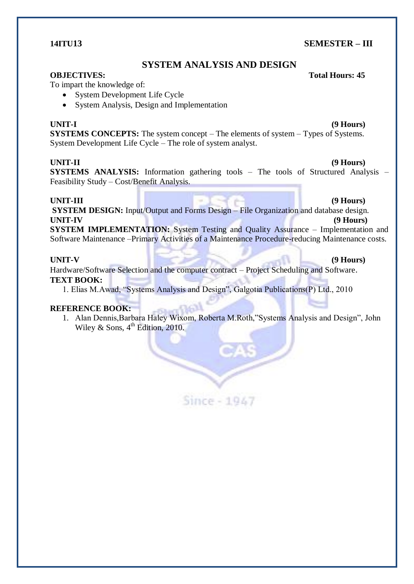### **14ITU13 SEMESTER – III**

# **SYSTEM ANALYSIS AND DESIGN**

### **OBJECTIVES:** Total Hours: 45

To impart the knowledge of:

- System Development Life Cycle
- System Analysis, Design and Implementation

### **UNIT-I (9 Hours)**

**SYSTEMS CONCEPTS:** The system concept – The elements of system – Types of Systems. System Development Life Cycle – The role of system analyst.

## **UNIT-II (9 Hours)**

**SYSTEMS ANALYSIS:** Information gathering tools – The tools of Structured Analysis – Feasibility Study – Cost/Benefit Analysis.

### **UNIT-III (9 Hours)**

**SYSTEM DESIGN:** Input/Output and Forms Design – File Organization and database design. **UNIT-IV (9 Hours)**

**SYSTEM IMPLEMENTATION:** System Testing and Quality Assurance – Implementation and Software Maintenance –Primary Activities of a Maintenance Procedure-reducing Maintenance costs.

## **UNIT-V (9 Hours)**

Hardware/Software Selection and the computer contract – Project Scheduling and Software. **TEXT BOOK:**

1. Elias M.Awad, "Systems Analysis and Design", Galgotia Publications(P) Ltd., 2010

# **REFERENCE BOOK:**

1. Alan Dennis,Barbara Haley Wixom, Roberta M.Roth,"Systems Analysis and Design", John Wiley & Sons,  $4^{th}$  Edition, 2010.

Since - 1947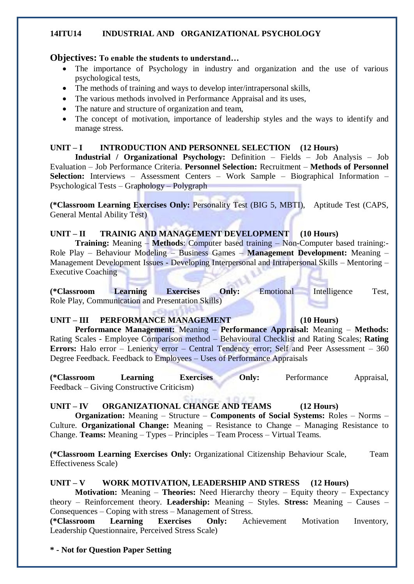### **14ITU14 INDUSTRIAL AND ORGANIZATIONAL PSYCHOLOGY**

### **Objectives: To enable the students to understand…**

- The importance of Psychology in industry and organization and the use of various psychological tests,
- The methods of training and ways to develop inter/intrapersonal skills,
- The various methods involved in Performance Appraisal and its uses,
- The nature and structure of organization and team,
- The concept of motivation, importance of leadership styles and the ways to identify and manage stress.

### UNIT – **I** INTRODUCTION AND PERSONNEL SELECTION (12 Hours)

**Industrial / Organizational Psychology:** Definition – Fields – Job Analysis – Job Evaluation – Job Performance Criteria. **Personnel Selection:** Recruitment – **Methods of Personnel Selection:** Interviews – Assessment Centers – Work Sample – Biographical Information – Psychological Tests – Graphology – Polygraph

**(\*Classroom Learning Exercises Only:** Personality Test (BIG 5, MBTI), Aptitude Test (CAPS, General Mental Ability Test)

# **UNIT – II TRAINIG AND MANAGEMENT DEVELOPMENT (10 Hours)**

**Training:** Meaning – **Methods**: Computer based training – Non-Computer based training:- Role Play – Behaviour Modeling – Business Games – **Management Development:** Meaning – Management Development Issues - Developing Interpersonal and Intrapersonal Skills – Mentoring – Executive Coaching

**(\*Classroom Learning Exercises Only:** Emotional Intelligence Test, Role Play, Communication and Presentation Skills)

### **UNIT – III PERFORMANCE MANAGEMENT (10 Hours)**

**Performance Management:** Meaning – **Performance Appraisal:** Meaning – **Methods:** Rating Scales - Employee Comparison method – Behavioural Checklist and Rating Scales; **Rating Errors:** Halo error – Leniency error – Central Tendency error; Self and Peer Assessment – 360 Degree Feedback. Feedback to Employees – Uses of Performance Appraisals

**(\*Classroom Learning Exercises Only:** Performance Appraisal, Feedback – Giving Constructive Criticism)

# **UNIT – IV ORGANIZATIONAL CHANGE AND TEAMS (12 Hours)**

**Organization:** Meaning – Structure – **Components of Social Systems:** Roles – Norms – Culture. **Organizational Change:** Meaning – Resistance to Change – Managing Resistance to Change. **Teams:** Meaning – Types – Principles – Team Process – Virtual Teams.

**(\*Classroom Learning Exercises Only:** Organizational Citizenship Behaviour Scale, Team Effectiveness Scale)

# **UNIT – V WORK MOTIVATION, LEADERSHIP AND STRESS (12 Hours)**

**Motivation:** Meaning – **Theories:** Need Hierarchy theory – Equity theory – Expectancy theory – Reinforcement theory. **Leadership:** Meaning – Styles. **Stress:** Meaning – Causes – Consequences – Coping with stress – Management of Stress.

**(\*Classroom Learning Exercises Only:** Achievement Motivation Inventory, Leadership Questionnaire, Perceived Stress Scale)

**\* - Not for Question Paper Setting**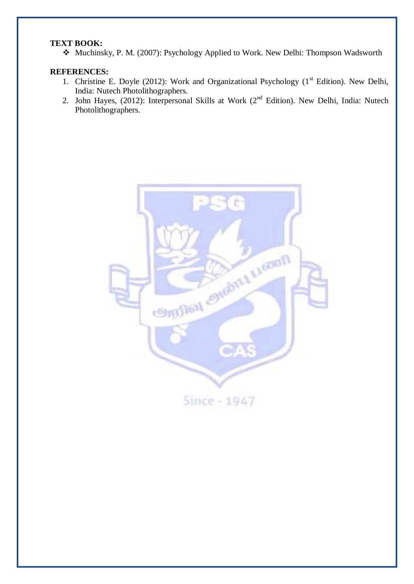# **TEXT BOOK:**

Muchinsky, P. M. (2007): Psychology Applied to Work. New Delhi: Thompson Wadsworth

### **REFERENCES:**

- 1. Christine E. Doyle (2012): Work and Organizational Psychology (1<sup>st</sup> Edition). New Delhi, India: Nutech Photolithographers.
- 2. John Hayes, (2012): Interpersonal Skills at Work (2<sup>nd</sup> Edition). New Delhi, India: Nutech Photolithographers.

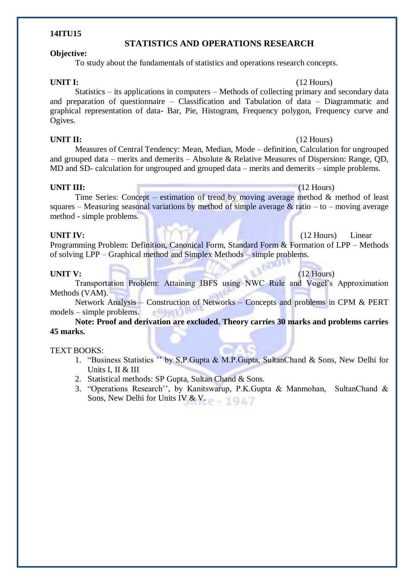# **STATISTICS AND OPERATIONS RESEARCH**

### **Objective:**

**14ITU15**

To study about the fundamentals of statistics and operations research concepts.

### **UNIT I:** (12 Hours)

Statistics – its applications in computers – Methods of collecting primary and secondary data and preparation of questionnaire – Classification and Tabulation of data – Diagrammatic and graphical representation of data- Bar, Pie, Histogram, Frequency polygon, Frequency curve and Ogives.

### **UNIT II:** (12 Hours)

Measures of Central Tendency: Mean, Median, Mode – definition, Calculation for ungrouped and grouped data – merits and demerits – Absolute & Relative Measures of Dispersion: Range, QD, MD and SD- calculation for ungrouped and grouped data – merits and demerits – simple problems.

### **UNIT III:** (12 Hours)

Time Series: Concept – estimation of trend by moving average method & method of least squares – Measuring seasonal variations by method of simple average  $\&$  ratio – to – moving average method - simple problems.

**UNIT IV:** (12 Hours) Linear Programming Problem: Definition, Canonical Form, Standard Form & Formation of LPP – Methods of solving LPP – Graphical method and Simplex Methods – simple problems.

### **UNIT V:** (12 Hours)

# Transportation Problem: Attaining IBFS using NWC Rule and Vogel"s Approximation Methods (VAM).

Network Analysis – Construction of Networks – Concepts and problems in CPM & PERT models – simple problems.

### **Note: Proof and derivation are excluded. Theory carries 30 marks and problems carries 45 marks.**

### TEXT BOOKS:

- 1. "Business Statistics "" by S,P.Gupta & M.P.Gupta, SultanChand & Sons, New Delhi for Units I, II & III
- 2. Statistical methods: SP Gupta, Sultan Chand & Sons.
- 3. "Operations Research"", by Kanitswarup, P.K.Gupta & Manmohan, SultanChand & Sons, New Delhi for Units IV & V.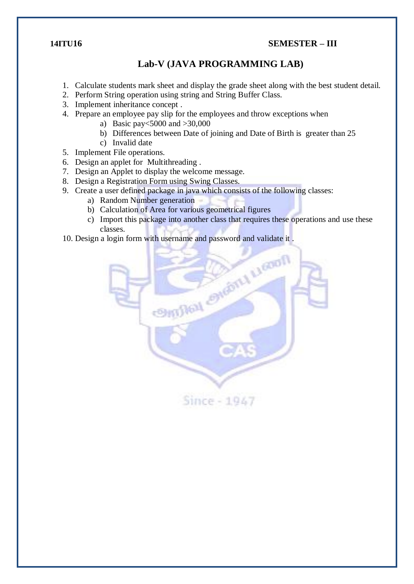### **14ITU16 SEMESTER – III**

# **Lab-V (JAVA PROGRAMMING LAB)**

- 1. Calculate students mark sheet and display the grade sheet along with the best student detail.
- 2. Perform String operation using string and String Buffer Class.
- 3. Implement inheritance concept .
- 4. Prepare an employee pay slip for the employees and throw exceptions when
	- a) Basic pay<5000 and >30,000
	- b) Differences between Date of joining and Date of Birth is greater than 25
	- c) Invalid date
- 5. Implement File operations.
- 6. Design an applet for Multithreading .
- 7. Design an Applet to display the welcome message.
- 8. Design a Registration Form using Swing Classes.
- 9. Create a user defined package in java which consists of the following classes:
	- a) Random Number generation
	- b) Calculation of Area for various geometrical figures
	- c) Import this package into another class that requires these operations and use these classes.
- 10. Design a login form with username and password and validate it .

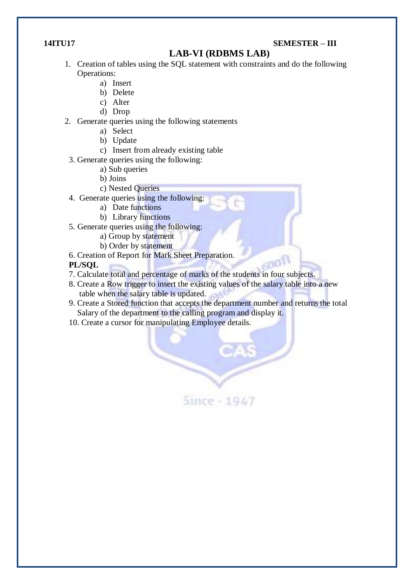## **14ITU17 SEMESTER – III**

# **LAB-VI (RDBMS LAB)**

- 1. Creation of tables using the SQL statement with constraints and do the following Operations:
	- a) Insert
	- b) Delete
	- c) Alter
	- d) Drop
- 2. Generate queries using the following statements
	- a) Select
	- b) Update
	- c) Insert from already existing table
	- 3. Generate queries using the following:
		- a) Sub queries
		- b) Joins
		- c) Nested Queries
	- 4. Generate queries using the following:
		- a) Date functions
		- b) Library functions
	- 5. Generate queries using the following:
		- a) Group by statement
		- b) Order by statement
	- 6. Creation of Report for Mark Sheet Preparation.
	- **PL/SQL**
	- 7. Calculate total and percentage of marks of the students in four subjects.
	- 8. Create a Row trigger to insert the existing values of the salary table into a new table when the salary table is updated.
	- 9. Create a Stored function that accepts the department number and returns the total Salary of the department to the calling program and display it.

Since - 1947

GOO!

10. Create a cursor for manipulating Employee details.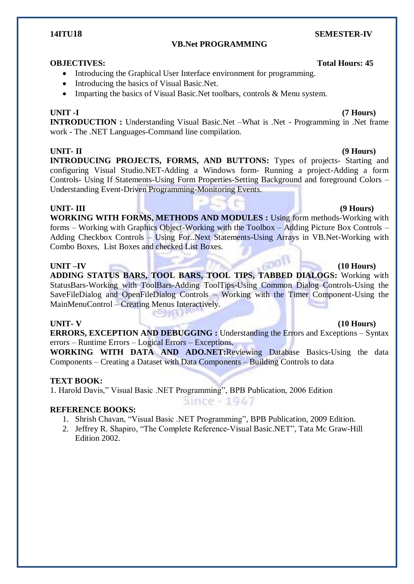### **VB.Net PROGRAMMING**

### **OBJECTIVES:** Total Hours: 45

- Introducing the Graphical User Interface environment for programming.
- Introducing the basics of Visual Basic.Net.
- Imparting the basics of Visual Basic. Net toolbars, controls & Menu system.

### **UNIT -I (7 Hours)**

**INTRODUCTION :** Understanding Visual Basic.Net –What is .Net - Programming in .Net frame work - The .NET Languages-Command line compilation.

### **UNIT- II (9 Hours)**

**INTRODUCING PROJECTS, FORMS, AND BUTTONS:** Types of projects- Starting and configuring Visual Studio.NET-Adding a Windows form- Running a project-Adding a form Controls- Using If Statements-Using Form Properties-Setting Background and foreground Colors – Understanding Event-Driven Programming-Monitoring Events.

**UNIT- III (9 Hours) WORKING WITH FORMS, METHODS AND MODULES :** Using form methods-Working with forms – Working with Graphics Object-Working with the Toolbox – Adding Picture Box Controls – Adding Checkbox Controls – Using For..Next Statements-Using Arrays in VB.Net-Working with Combo Boxes, List Boxes and checked List Boxes.

**UNIT –IV (10 Hours) ADDING STATUS BARS, TOOL BARS, TOOL TIPS, TABBED DIALOGS:** Working with StatusBars-Working with ToolBars-Adding ToolTips-Using Common Dialog Controls-Using the SaveFileDialog and OpenFileDialog Controls – Working with the Timer Component-Using the MainMenuControl – Creating Menus Interactively.

**ERRORS, EXCEPTION AND DEBUGGING :** Understanding the Errors and Exceptions – Syntax errors – Runtime Errors – Logical Errors – Exceptions.

**WORKING WITH DATA AND ADO.NET:**Reviewing Database Basics-Using the data Components – Creating a Dataset with Data Components – Building Controls to data

 $Since -1947$ 

### **TEXT BOOK:**

1. Harold Davis," Visual Basic .NET Programming", BPB Publication, 2006 Edition

c®hW)

### **REFERENCE BOOKS:**

- 1. Shrish Chavan, "Visual Basic .NET Programming", BPB Publication, 2009 Edition.
- 2. Jeffrey R. Shapiro, "The Complete Reference-Visual Basic.NET", Tata Mc Graw-Hill Edition 2002.

# **UNIT- V (10 Hours)**

# **14ITU18 SEMESTER-IV**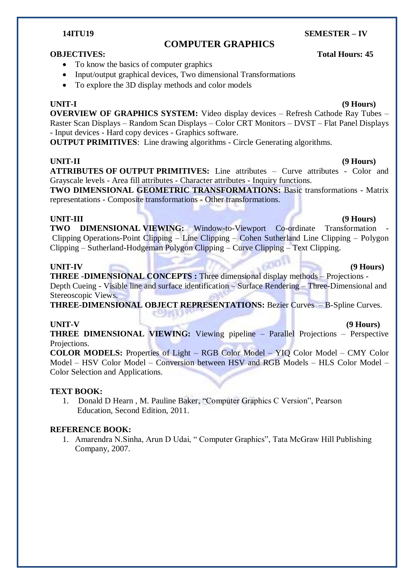# **COMPUTER GRAPHICS**

### **OBJECTIVES:** Total Hours: 45

- To know the basics of computer graphics
- Input/output graphical devices, Two dimensional Transformations
- To explore the 3D display methods and color models

### **UNIT-I (9 Hours)**

**OVERVIEW OF GRAPHICS SYSTEM:** Video display devices – Refresh Cathode Ray Tubes – Raster Scan Displays – Random Scan Displays – Color CRT Monitors – DVST – Flat Panel Displays - Input devices - Hard copy devices - Graphics software.

**OUTPUT PRIMITIVES**: Line drawing algorithms - Circle Generating algorithms.

### **UNIT-II (9 Hours)**

**ATTRIBUTES OF OUTPUT PRIMITIVES:** Line attributes – Curve attributes - Color and Grayscale levels - Area fill attributes - Character attributes - Inquiry functions.

**TWO DIMENSIONAL GEOMETRIC TRANSFORMATIONS:** Basic transformations - Matrix representations - Composite transformations - Other transformations.

### **UNIT-III (9 Hours)**

**TWO DIMENSIONAL VIEWING:** Window-to-Viewport Co-ordinate Transformation Clipping Operations-Point Clipping – Line Clipping – Cohen Sutherland Line Clipping – Polygon Clipping – Sutherland-Hodgeman Polygon Clipping – Curve Clipping – Text Clipping.

### **UNIT-IV (9 Hours)**

**THREE -DIMENSIONAL CONCEPTS :** Three dimensional display methods – Projections - Depth Cueing - Visible line and surface identification – Surface Rendering – Three-Dimensional and Stereoscopic Views.

**THREE-DIMENSIONAL OBJECT REPRESENTATIONS:** Bezier Curves – B-Spline Curves.

### **UNIT-V (9 Hours)**

**THREE DIMENSIONAL VIEWING:** Viewing pipeline – Parallel Projections – Perspective Projections.

**COLOR MODELS:** Properties of Light – RGB Color Model – YIQ Color Model – CMY Color Model – HSV Color Model – Conversion between HSV and RGB Models – HLS Color Model – Color Selection and Applications.

### **TEXT BOOK:**

1. Donald D Hearn , M. Pauline Baker, "Computer Graphics C Version", Pearson Education, Second Edition, 2011.

### **REFERENCE BOOK:**

1. Amarendra N.Sinha, Arun D Udai, " Computer Graphics", Tata McGraw Hill Publishing Company, 2007.

**14ITU19 SEMESTER – IV**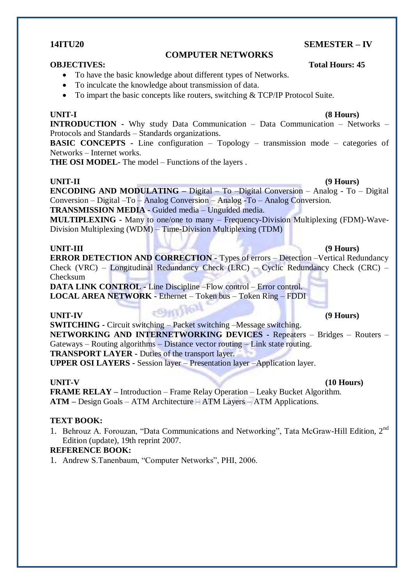### **14ITU20 SEMESTER – IV**

#### **COMPUTER NETWORKS**

### **OBJECTIVES:** Total Hours: 45

- To have the basic knowledge about different types of Networks.
- To inculcate the knowledge about transmission of data.
- To impart the basic concepts like routers, switching & TCP/IP Protocol Suite.

**UNIT-I (8 Hours) INTRODUCTION -** Why study Data Communication – Data Communication – Networks – Protocols and Standards – Standards organizations.

**BASIC CONCEPTS -** Line configuration – Topology – transmission mode – categories of Networks – Internet works.

**THE OSI MODEL-** The model – Functions of the layers .

### **UNIT-II (9 Hours)**

**ENCODING AND MODULATING –** Digital – To –Digital Conversion – Analog - To – Digital Conversion – Digital –To – Analog Conversion – Analog -To – Analog Conversion. **TRANSMISSION MEDIA -** Guided media – Unguided media.

**MULTIPLEXING -** Many to one/one to many – Frequency-Division Multiplexing (FDM)-Wave-Division Multiplexing (WDM) – Time-Division Multiplexing (TDM)

### **UNIT-III (9 Hours)**

**ERROR DETECTION AND CORRECTION -** Types of errors – Detection –Vertical Redundancy Check (VRC) – Longitudinal Redundancy Check (LRC) – Cyclic Redundancy Check (CRC) – Checksum

**DATA LINK CONTROL -** Line Discipline –Flow control – Error control. **LOCAL AREA NETWORK -** Ethernet – Token bus – Token Ring – FDDI

### **UNIT-IV (9 Hours)**

**SWITCHING -** Circuit switching – Packet switching –Message switching. **NETWORKING AND INTERNETWORKING DEVICES -** Repeaters – Bridges – Routers – Gateways – Routing algorithms – Distance vector routing – Link state routing. **TRANSPORT LAYER -** Duties of the transport layer. **UPPER OSI LAYERS -** Session layer – Presentation layer –Application layer.

**UNIT-V (10 Hours)**

**FRAME RELAY –** Introduction – Frame Relay Operation – Leaky Bucket Algorithm. **ATM –** Design Goals – ATM Architecture – ATM Layers – ATM Applications.

### **TEXT BOOK:**

1. Behrouz A. Forouzan, "Data Communications and Networking", Tata McGraw-Hill Edition, 2<sup>nd</sup> Edition (update), 19th reprint 2007.

### **REFERENCE BOOK:**

1. Andrew S.Tanenbaum, "Computer Networks", PHI, 2006.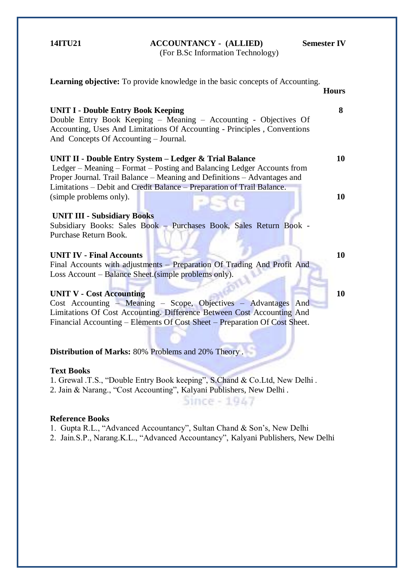**14ITU21 ACCOUNTANCY - (ALLIED) Semester IV**

(For B.Sc Information Technology)

**Learning objective:** To provide knowledge in the basic concepts of Accounting. **Hours** Double Entry Book Keeping – Meaning – Accounting - Objectives Of Accounting, Uses And Limitations Of Accounting - Principles , Conventions **UNIT II - Double Entry System – Ledger & Trial Balance** Ledger – Meaning – Format – Posting and Balancing Ledger Accounts from Proper Journal. Trail Balance – Meaning and Definitions – Advantages and Limitations – Debit and Credit Balance – Preparation of Trail Balance. Subsidiary Books: Sales Book – Purchases Book, Sales Return Book -

#### **UNIT IV - Final Accounts**

**UNIT III - Subsidiary Books**

(simple problems only).

Purchase Return Book.

**UNIT I - Double Entry Book Keeping**

And Concepts Of Accounting – Journal.

Final Accounts with adjustments – Preparation Of Trading And Profit And Loss Account – Balance Sheet.(simple problems only).

ĺ

### **UNIT V - Cost Accounting**

Cost Accounting – Meaning – Scope, Objectives – Advantages And Limitations Of Cost Accounting. Difference Between Cost Accounting And Financial Accounting – Elements Of Cost Sheet – Preparation Of Cost Sheet.

**Distribution of Marks:** 80% Problems and 20% Theory .

#### **Text Books**

1. Grewal .T.S., "Double Entry Book keeping", S.Chand & Co.Ltd, New Delhi . 2. Jain & Narang., "Cost Accounting", Kalyani Publishers, New Delhi .

#### **Reference Books**

1. Gupta R.L., "Advanced Accountancy", Sultan Chand & Son"s, New Delhi

2. Jain.S.P., Narang.K.L., "Advanced Accountancy", Kalyani Publishers, New Delhi

Since - 1947

**8** 

**10** 

**10** 

**10**

**10**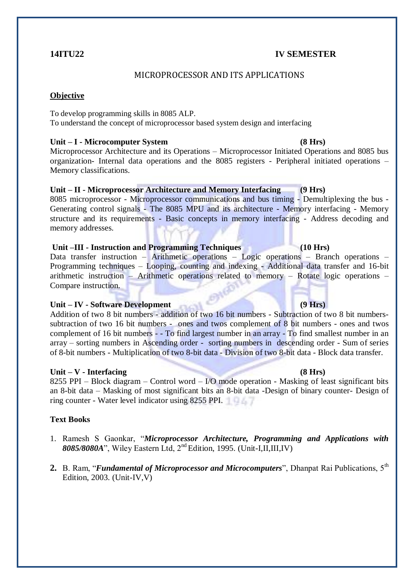## **14ITU22 IV SEMESTER**

# MICROPROCESSOR AND ITS APPLICATIONS

### **Objective**

To develop programming skills in 8085 ALP.

To understand the concept of microprocessor based system design and interfacing

### **Unit – I - Microcomputer System (8 Hrs)**

Microprocessor Architecture and its Operations – Microprocessor Initiated Operations and 8085 bus organization- Internal data operations and the 8085 registers - Peripheral initiated operations – Memory classifications.

# **Unit – II - Microprocessor Architecture and Memory Interfacing (9 Hrs)**

8085 microprocessor - Microprocessor communications and bus timing - Demultiplexing the bus - Generating control signals - The 8085 MPU and its architecture - Memory interfacing - Memory structure and its requirements - Basic concepts in memory interfacing - Address decoding and memory addresses.

# **Unit –III - Instruction and Programming Techniques (10 Hrs)**

Data transfer instruction – Arithmetic operations – Logic operations – Branch operations – Programming techniques – Looping, counting and indexing - Additional data transfer and 16-bit arithmetic instruction – Arithmetic operations related to memory – Rotate logic operations – Compare instruction.

### **Unit – IV - Software Development (9 Hrs)**

Addition of two 8 bit numbers - addition of two 16 bit numbers - Subtraction of two 8 bit numberssubtraction of two 16 bit numbers - ones and twos complement of 8 bit numbers - ones and twos complement of 16 bit numbers - - To find largest number in an array - To find smallest number in an array – sorting numbers in Ascending order - sorting numbers in descending order - Sum of series of 8-bit numbers - Multiplication of two 8-bit data - Division of two 8-bit data - Block data transfer.

### **Unit – V - Interfacing (8 Hrs)**

8255 PPI – Block diagram – Control word – I/O mode operation - Masking of least significant bits an 8-bit data – Masking of most significant bits an 8-bit data -Design of binary counter- Design of ring counter - Water level indicator using 8255 PPI.

### **Text Books**

- 1. Ramesh S Gaonkar, "*Microprocessor Architecture, Programming and Applications with 8085/8080A*", Wiley Eastern Ltd, 2nd Edition, 1995. (Unit-I,II,III,IV)
- 2. B. Ram, "*Fundamental of Microprocessor and Microcomputers*", Dhanpat Rai Publications, 5<sup>th</sup> Edition, 2003. (Unit-IV,V)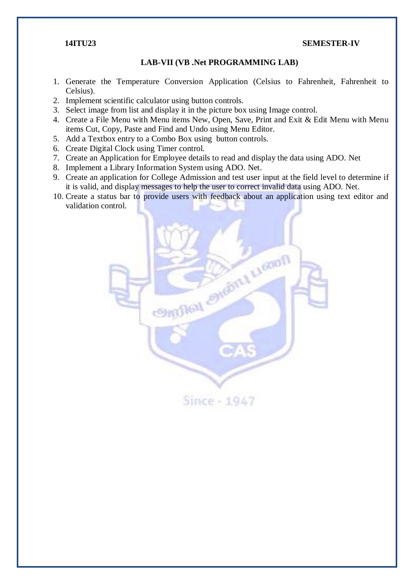#### **14ITU23 SEMESTER-IV**

#### **LAB-VII (VB .Net PROGRAMMING LAB)**

- 1. Generate the Temperature Conversion Application (Celsius to Fahrenheit, Fahrenheit to Celsius).
- 2. Implement scientific calculator using button controls.
- 3. Select image from list and display it in the picture box using Image control.
- 4. Create a File Menu with Menu items New, Open, Save, Print and Exit & Edit Menu with Menu items Cut, Copy, Paste and Find and Undo using Menu Editor.
- 5. Add a Textbox entry to a Combo Box using button controls.
- 6. Create Digital Clock using Timer control.
- 7. Create an Application for Employee details to read and display the data using ADO. Net
- 8. Implement a Library Information System using ADO. Net.
- 9. Create an application for College Admission and test user input at the field level to determine if it is valid, and display messages to help the user to correct invalid data using ADO. Net.
- 10. Create a status bar to provide users with feedback about an application using text editor and validation control.

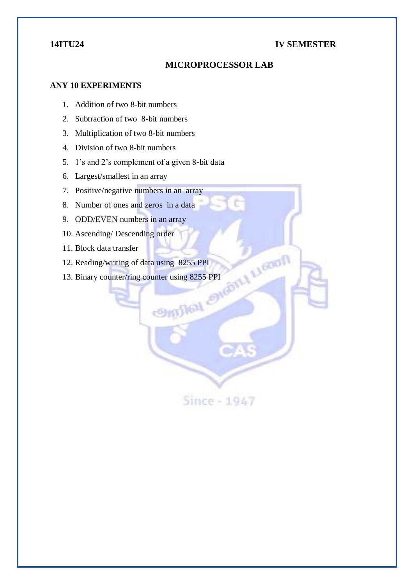# **14ITU24 IV SEMESTER**

# **MICROPROCESSOR LAB**

### **ANY 10 EXPERIMENTS**

- 1. Addition of two 8-bit numbers
- 2. Subtraction of two 8-bit numbers
- 3. Multiplication of two 8-bit numbers
- 4. Division of two 8-bit numbers
- 5. 1"s and 2"s complement of a given 8-bit data
- 6. Largest/smallest in an array
- 7. Positive/negative numbers in an array
- 8. Number of ones and zeros in a data
- 9. ODD/EVEN numbers in an array
- 10. Ascending/ Descending order
- 11. Block data transfer
- 
- 12. Reading/writing of data using 8255 PPI<br>13. Binary counter/ring counter using 8255 PPI<br>14. Paper of the counter of the counter of the counter of the counter of the counter of the counter of the counter of the counter of 13. Binary counter/ring counter using 8255 PPI

Since - 1947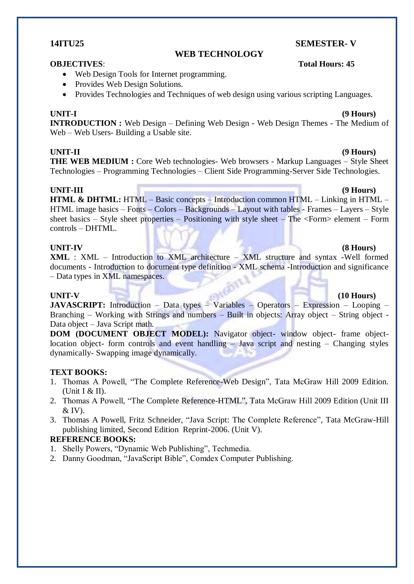## **14ITU25 SEMESTER- V**

### **WEB TECHNOLOGY**

#### **OBJECTIVES**: **Total Hours: 45**

- Web Design Tools for Internet programming.
- Provides Web Design Solutions.
- Provides Technologies and Techniques of web design using various scripting Languages.

**INTRODUCTION :** Web Design – Defining Web Design - Web Design Themes - The Medium of Web – Web Users- Building a Usable site.

### **UNIT-II (9 Hours)**

**THE WEB MEDIUM :** Core Web technologies- Web browsers - Markup Languages – Style Sheet Technologies – Programming Technologies – Client Side Programming-Server Side Technologies.

### **UNIT-III (9 Hours)**

**HTML & DHTML:** HTML – Basic concepts – Introduction common HTML – Linking in HTML – HTML image basics – Fonts – Colors – Backgrounds – Layout with tables - Frames – Layers – Style sheet basics – Style sheet properties – Positioning with style sheet – The <Form> element – Form controls – DHTML.

### **UNIT-IV (8 Hours)**

**XML** : XML – Introduction to XML architecture – XML structure and syntax -Well formed documents - Introduction to document type definition - XML schema -Introduction and significance – Data types in XML namespaces.

#### **UNIT-V (10 Hours)**

**JAVASCRIPT:** Introduction – Data types – Variables – Operators – Expression – Looping – Branching – Working with Strings and numbers – Built in objects: Array object – String object - Data object – Java Script math.

**DOM (DOCUMENT OBJECT MODEL):** Navigator object- window object- frame objectlocation object- form controls and event handling – Java script and nesting – Changing styles dynamically- Swapping image dynamically.

#### **TEXT BOOKS:**

- 1. Thomas A Powell, "The Complete Reference-Web Design", Tata McGraw Hill 2009 Edition. (Unit I & II).
- 2. Thomas A Powell, "The Complete Reference-HTML", Tata McGraw Hill 2009 Edition (Unit III  $&$  IV).
- 3. Thomas A Powell, Fritz Schneider, "Java Script: The Complete Reference", Tata McGraw-Hill publishing limited, Second Edition Reprint-2006. (Unit V).

### **REFERENCE BOOKS:**

- 1. Shelly Powers, "Dynamic Web Publishing", Techmedia.
- 2. Danny Goodman, "JavaScript Bible", Comdex Computer Publishing.

# **UNIT-I (9 Hours)**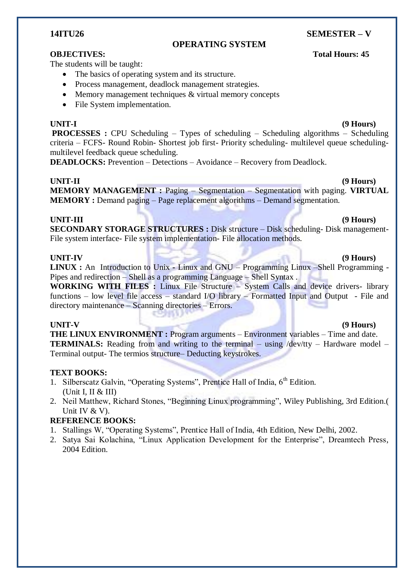## **14ITU26 SEMESTER – V**

## **OPERATING SYSTEM**

The students will be taught:

- The basics of operating system and its structure.
- Process management, deadlock management strategies.
- Memory management techniques & virtual memory concepts
- File System implementation.

### **UNIT-I (9 Hours)**

**PROCESSES :** CPU Scheduling – Types of scheduling – Scheduling algorithms – Scheduling criteria – FCFS- Round Robin- Shortest job first- Priority scheduling- multilevel queue schedulingmultilevel feedback queue scheduling.

**DEADLOCKS:** Prevention – Detections – Avoidance – Recovery from Deadlock.

**UNIT-II (9 Hours) MEMORY MANAGEMENT :** Paging – Segmentation – Segmentation with paging. **VIRTUAL MEMORY :** Demand paging – Page replacement algorithms – Demand segmentation.

### **UNIT-III (9 Hours)**

**SECONDARY STORAGE STRUCTURES :** Disk structure – Disk scheduling- Disk management-File system interface- File system implementation- File allocation methods.

### **UNIT-IV (9 Hours)**

**LINUX :** An Introduction to Unix **-** Linux and GNU – Programming Linux –Shell Programming - Pipes and redirection – Shell as a programming Language – Shell Syntax .

**WORKING WITH FILES :** Linux File Structure – System Calls and device drivers- library functions – low level file access – standard I/O library – Formatted Input and Output - File and directory maintenance – Scanning directories – Errors.

### **UNIT-V (9 Hours)**

**THE LINUX ENVIRONMENT :** Program arguments – Environment variables – Time and date. **TERMINALS:** Reading from and writing to the terminal – using /dev/tty – Hardware model – Terminal output- The termios structure– Deducting keystrokes.

### **TEXT BOOKS:**

- 1. Silberscatz Galvin, "Operating Systems", Prentice Hall of India,  $6<sup>th</sup>$  Edition. (Unit I, II & III)
- 2. Neil Matthew, Richard Stones, "Beginning Linux programming", Wiley Publishing, 3rd Edition.( Unit IV & V).

### **REFERENCE BOOKS:**

- 1. Stallings W, "Operating Systems", Prentice Hall of India, 4th Edition, New Delhi, 2002.
- 2. Satya Sai Kolachina, "Linux Application Development for the Enterprise", Dreamtech Press, 2004 Edition.

### **OBJECTIVES:** Total Hours: 45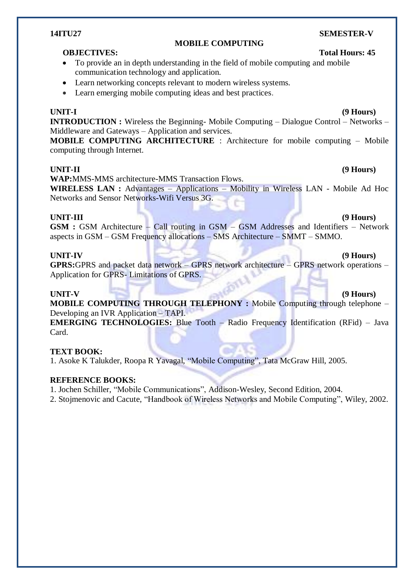# **14ITU27 SEMESTER-V**

## **OBJECTIVES:** Total Hours: 45

- To provide an in depth understanding in the field of mobile computing and mobile communication technology and application.
- Learn networking concepts relevant to modern wireless systems.
- Learn emerging mobile computing ideas and best practices.

#### **UNIT-I (9 Hours)**

**INTRODUCTION :** Wireless the Beginning- Mobile Computing – Dialogue Control – Networks – Middleware and Gateways – Application and services.

**MOBILE COMPUTING**

**MOBILE COMPUTING ARCHITECTURE** : Architecture for mobile computing – Mobile computing through Internet.

### **UNIT-II (9 Hours)**

**WAP:**MMS-MMS architecture-MMS Transaction Flows.

**WIRELESS LAN :** Advantages – Applications – Mobility in Wireless LAN - Mobile Ad Hoc Networks and Sensor Networks-Wifi Versus 3G.

### **UNIT-III (9 Hours)**

**GSM :** GSM Architecture – Call routing in GSM – GSM Addresses and Identifiers – Network aspects in GSM – GSM Frequency allocations – SMS Architecture – SMMT – SMMO.

**GPRS:**GPRS and packet data network – GPRS network architecture – GPRS network operations – Application for GPRS- Limitations of GPRS.

#### **UNIT-V (9 Hours)**

**MOBILE COMPUTING THROUGH TELEPHONY :** Mobile Computing through telephone – Developing an IVR Application – TAPI.

**EMERGING TECHNOLOGIES:** Blue Tooth – Radio Frequency Identification (RFid) – Java Card.

### **TEXT BOOK:**

1. Asoke K Talukder, Roopa R Yavagal, "Mobile Computing", Tata McGraw Hill, 2005.

#### **REFERENCE BOOKS:**

1. Jochen Schiller, "Mobile Communications", Addison-Wesley, Second Edition, 2004.

2. Stojmenovic and Cacute, "Handbook of Wireless Networks and Mobile Computing", Wiley, 2002.

# **UNIT-IV (9 Hours)**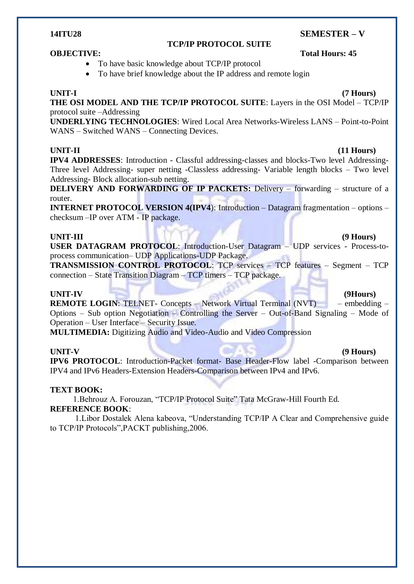# **14ITU28 SEMESTER – V**

### **TCP/IP PROTOCOL SUITE**

# **OBJECTIVE:** Total Hours: 45

- To have basic knowledge about TCP/IP protocol
- To have brief knowledge about the IP address and remote login

**UNIT-I (7 Hours) THE OSI MODEL AND THE TCP/IP PROTOCOL SUITE**: Layers in the OSI Model – TCP/IP protocol suite –Addressing

**UNDERLYING TECHNOLOGIES**: Wired Local Area Networks-Wireless LANS – Point-to-Point WANS – Switched WANS – Connecting Devices.

### **UNIT-II (11 Hours)**

**IPV4 ADDRESSES**: Introduction - Classful addressing-classes and blocks-Two level Addressing-Three level Addressing- super netting -Classless addressing- Variable length blocks – Two level Addressing- Block allocation-sub netting.

**DELIVERY AND FORWARDING OF IP PACKETS:** Delivery – forwarding – structure of a router.

**INTERNET PROTOCOL VERSION 4(IPV4):** Introduction – Datagram fragmentation – options – checksum –IP over ATM - IP package.

### **UNIT-III (9 Hours)**

**USER DATAGRAM PROTOCOL**: Introduction-User Datagram – UDP services - Process-toprocess communication– UDP Applications-UDP Package.

**TRANSMISSION CONTROL PROTOCOL**: TCP services – TCP features – Segment – TCP connection – State Transition Diagram – TCP timers – TCP package.

#### **UNIT-IV (9Hours)**

**REMOTE LOGIN:** TELNET- Concepts – Network Virtual Terminal (NVT) – embedding – Options – Sub option Negotiation – Controlling the Server – Out-of-Band Signaling – Mode of Operation – User Interface – Security Issue.

**MULTIMEDIA:** Digitizing Audio and Video-Audio and Video Compression

**UNIT-V (9 Hours)**

**IPV6 PROTOCOL**: Introduction-Packet format- Base Header-Flow label -Comparison between IPV4 and IPv6 Headers-Extension Headers-Comparison between IPv4 and IPv6.

### **TEXT BOOK:**

 1.Behrouz A. Forouzan, "TCP/IP Protocol Suite" Tata McGraw-Hill Fourth Ed. **REFERENCE BOOK**:

1.Libor Dostalek Alena kabeova, "Understanding TCP/IP A Clear and Comprehensive guide to TCP/IP Protocols",PACKT publishing,2006.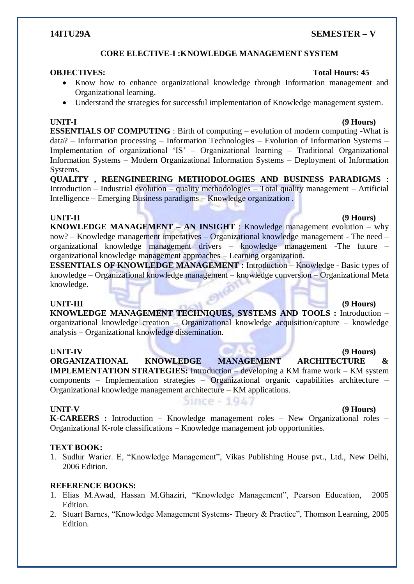### **14ITU29A SEMESTER – V**

## **CORE ELECTIVE-I :KNOWLEDGE MANAGEMENT SYSTEM**

- Know how to enhance organizational knowledge through Information management and Organizational learning.
- Understand the strategies for successful implementation of Knowledge management system.

**ESSENTIALS OF COMPUTING** : Birth of computing – evolution of modern computing -What is data? – Information processing – Information Technologies – Evolution of Information Systems – Implementation of organizational "IS" – Organizational learning – Traditional Organizational Information Systems – Modern Organizational Information Systems – Deployment of Information Systems.

**QUALITY , REENGINEERING METHODOLOGIES AND BUSINESS PARADIGMS** : Introduction – Industrial evolution – quality methodologies – Total quality management – Artificial Intelligence – Emerging Business paradigms – Knowledge organization .

**UNIT-II (9 Hours) KNOWLEDGE MANAGEMENT – AN INSIGHT** : Knowledge management evolution – why now? – Knowledge management imperatives – Organizational knowledge management - The need – organizational knowledge management drivers – knowledge management -The future – organizational knowledge management approaches – Learning organization.

**ESSENTIALS OF KNOWLEDGE MANAGEMENT :** Introduction – Knowledge - Basic types of knowledge – Organizational knowledge management – knowledge conversion – Organizational Meta knowledge.

**UNIT-III (9 Hours) KNOWLEDGE MANAGEMENT TECHNIQUES, SYSTEMS AND TOOLS :** Introduction – organizational knowledge creation – Organizational knowledge acquisition/capture – knowledge analysis – Organizational knowledge dissemination.

**UNIT-IV (9 Hours) ORGANIZATIONAL KNOWLEDGE MANAGEMENT ARCHITECTURE & IMPLEMENTATION STRATEGIES:** Introduction – developing a KM frame work – KM system components – Implementation strategies – Organizational organic capabilities architecture – Organizational knowledge management architecture – KM applications.

### **UNIT-V (9 Hours)**

Since - 1947

**K-CAREERS :** Introduction – Knowledge management roles – New Organizational roles – Organizational K-role classifications – Knowledge management job opportunities.

### **TEXT BOOK:**

1. Sudhir Warier. E, "Knowledge Management", Vikas Publishing House pvt., Ltd., New Delhi, 2006 Edition.

### **REFERENCE BOOKS:**

- 1. Elias M.Awad, Hassan M.Ghaziri, "Knowledge Management", Pearson Education, 2005 Edition.
- 2. Stuart Barnes, "Knowledge Management Systems- Theory & Practice", Thomson Learning, 2005 Edition.

# **OBJECTIVES:** Total Hours: 45

# **UNIT-I (9 Hours)**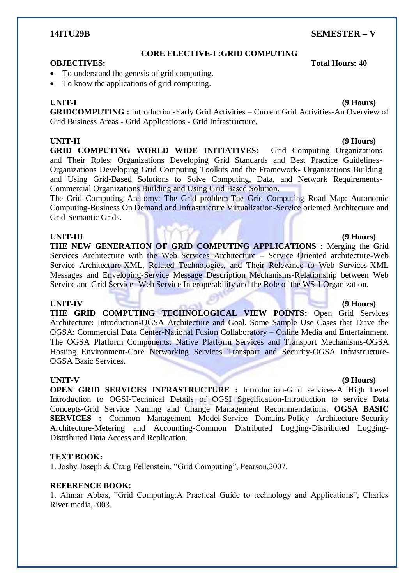### **14ITU29B SEMESTER – V**

### **CORE ELECTIVE-I :GRID COMPUTING**

#### **OBJECTIVES: Total Hours: 40**

- To understand the genesis of grid computing.
- To know the applications of grid computing.

### **UNIT-I (9 Hours)**

**GRIDCOMPUTING :** Introduction-Early Grid Activities – Current Grid Activities-An Overview of Grid Business Areas - Grid Applications - Grid Infrastructure.

### **UNIT-II (9 Hours)**

**GRID COMPUTING WORLD WIDE INITIATIVES:** Grid Computing Organizations and Their Roles: Organizations Developing Grid Standards and Best Practice Guidelines-Organizations Developing Grid Computing Toolkits and the Framework- Organizations Building and Using Grid-Based Solutions to Solve Computing, Data, and Network Requirements-Commercial Organizations Building and Using Grid Based Solution.

The Grid Computing Anatomy: The Grid problem-The Grid Computing Road Map: Autonomic Computing-Business On Demand and Infrastructure Virtualization-Service oriented Architecture and Grid-Semantic Grids.

### **UNIT-III (9 Hours)**

**THE NEW GENERATION OF GRID COMPUTING APPLICATIONS :** Merging the Grid Services Architecture with the Web Services Architecture – Service Oriented architecture-Web Service Architecture-XML, Related Technologies, and Their Relevance to Web Services-XML Messages and Enveloping-Service Message Description Mechanisms-Relationship between Web Service and Grid Service- Web Service Interoperability and the Role of the WS-I Organization.

### **UNIT-IV (9 Hours)**

**THE GRID COMPUTING TECHNOLOGICAL VIEW POINTS:** Open Grid Services Architecture: Introduction-OGSA Architecture and Goal. Some Sample Use Cases that Drive the OGSA: Commercial Data Center-National Fusion Collaboratory – Online Media and Entertainment. The OGSA Platform Components: Native Platform Services and Transport Mechanisms-OGSA Hosting Environment-Core Networking Services Transport and Security-OGSA Infrastructure-OGSA Basic Services.

**OPEN GRID SERVICES INFRASTRUCTURE :** Introduction-Grid services-A High Level Introduction to OGSI-Technical Details of OGSI Specification-Introduction to service Data Concepts-Grid Service Naming and Change Management Recommendations. **OGSA BASIC SERVICES :** Common Management Model-Service Domains-Policy Architecture-Security Architecture-Metering and Accounting-Common Distributed Logging-Distributed Logging-Distributed Data Access and Replication.

### **TEXT BOOK:**

1. Joshy Joseph & Craig Fellenstein, "Grid Computing", Pearson,2007.

### **REFERENCE BOOK:**

1. Ahmar Abbas, "Grid Computing:A Practical Guide to technology and Applications", Charles River media,2003.

# **UNIT-V (9 Hours)**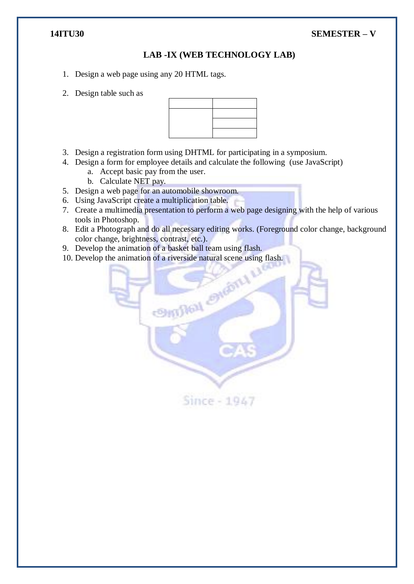# **14ITU30 SEMESTER – V**

# **LAB -IX (WEB TECHNOLOGY LAB)**

- 1. Design a web page using any 20 HTML tags.
- 2. Design table such as



- 3. Design a registration form using DHTML for participating in a symposium.
- 4. Design a form for employee details and calculate the following (use JavaScript)
	- a. Accept basic pay from the user.
	- b. Calculate NET pay.
- 5. Design a web page for an automobile showroom.
- 6. Using JavaScript create a multiplication table.
- 7. Create a multimedia presentation to perform a web page designing with the help of various tools in Photoshop.
- 8. Edit a Photograph and do all necessary editing works. (Foreground color change, background color change, brightness, contrast, etc.).
- 9. Develop the animation of a basket ball team using flash.
- 

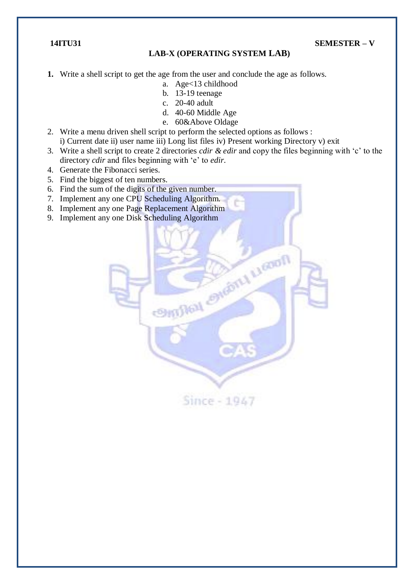**14ITU31 SEMESTER – V**

### **LAB-X (OPERATING SYSTEM LAB)**

- **1.** Write a shell script to get the age from the user and conclude the age as follows.
	- a. Age<13 childhood
	- b. 13-19 teenage
	- c. 20-40 adult
	- d. 40-60 Middle Age
	- e. 60&Above Oldage
- 2. Write a menu driven shell script to perform the selected options as follows : i) Current date ii) user name iii) Long list files iv) Present working Directory v) exit
- 3. Write a shell script to create 2 directories *cdir & edir* and copy the files beginning with "c" to the directory *cdir* and files beginning with "e" to *edir*.
- 4. Generate the Fibonacci series.
- 5. Find the biggest of ten numbers.
- 6. Find the sum of the digits of the given number.
- 7. Implement any one CPU Scheduling Algorithm.
- 8. Implement any one Page Replacement Algorithm
- 9. Implement any one Disk Scheduling Algorithm

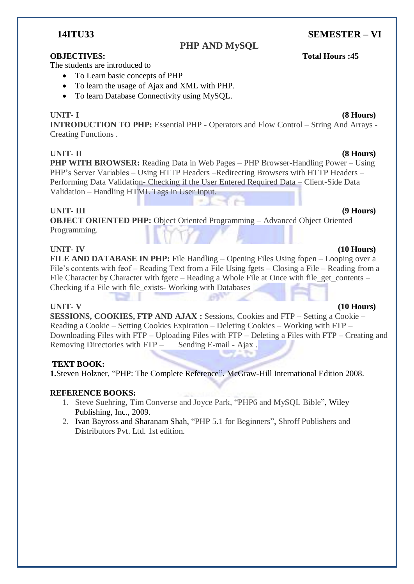# **14ITU33 SEMESTER – VI**

# **PHP AND MySQL**

## **OBJECTIVES: Total Hours :45**

The students are introduced to

- To Learn basic concepts of PHP
- To learn the usage of Ajax and XML with PHP.
- To learn Database Connectivity using MySOL.

### **UNIT- I (8 Hours)**

**INTRODUCTION TO PHP:** Essential PHP - Operators and Flow Control – String And Arrays - Creating Functions .

**PHP WITH BROWSER:** Reading Data in Web Pages – PHP Browser-Handling Power – Using PHP"s Server Variables – Using HTTP Headers –Redirecting Browsers with HTTP Headers – Performing Data Validation- Checking if the User Entered Required Data – Client-Side Data Validation – Handling HTML Tags in User Input.

### **UNIT- III (9 Hours)**

**OBJECT ORIENTED PHP:** Object Oriented Programming – Advanced Object Oriented Programming.

### **UNIT- IV (10 Hours)**

**FILE AND DATABASE IN PHP:** File Handling – Opening Files Using fopen – Looping over a File's contents with feof – Reading Text from a File Using fgets – Closing a File – Reading from a File Character by Character with fgetc – Reading a Whole File at Once with file get contents – Checking if a File with file\_exists- Working with Databases

### **UNIT- V (10 Hours)**

**SESSIONS, COOKIES, FTP AND AJAX :** Sessions, Cookies and FTP – Setting a Cookie – Reading a Cookie – Setting Cookies Expiration – Deleting Cookies – Working with FTP – Downloading Files with FTP – Uploading Files with FTP – Deleting a Files with FTP – Creating and Removing Directories with FTP – Sending E-mail - Ajax.

# **TEXT BOOK:**

**1.**[Steven Holzner,](http://mheducation.co.in/cgi-bin/same_author.pl?author=Steven+Holzner) "PHP: The Complete Reference", McGraw-Hill International Edition 2008.

### **REFERENCE BOOKS:**

- 1. Steve Suehring, Tim Converse and Joyce Park, "PHP6 and MySQL Bible", Wiley Publishing, Inc., 2009.
- 2. Ivan Bayross and Sharanam Shah, "PHP 5.1 for Beginners", Shroff Publishers and Distributors Pvt. Ltd. 1st edition.

# **UNIT- II (8 Hours)**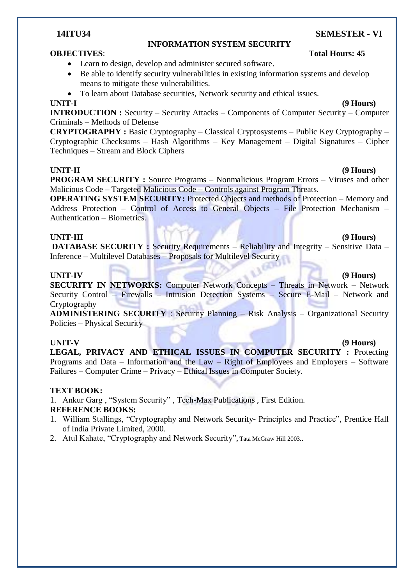### **INFORMATION SYSTEM SECURITY**

- Learn to design, develop and administer secured software.
- Be able to identify security vulnerabilities in existing information systems and develop means to mitigate these vulnerabilities.
- To learn about Database securities, Network security and ethical issues.

# **UNIT-I (9 Hours)**

**INTRODUCTION :** Security – Security Attacks – Components of Computer Security – Computer Criminals – Methods of Defense

**CRYPTOGRAPHY :** Basic Cryptography – Classical Cryptosystems – Public Key Cryptography – Cryptographic Checksums – Hash Algorithms – Key Management – Digital Signatures – Cipher Techniques – Stream and Block Ciphers

### **UNIT-II (9 Hours)**

**PROGRAM SECURITY :** Source Programs – Nonmalicious Program Errors – Viruses and other Malicious Code – Targeted Malicious Code – Controls against Program Threats.

**OPERATING SYSTEM SECURITY:** Protected Objects and methods of Protection – Memory and Address Protection – Control of Access to General Objects – File Protection Mechanism – Authentication – Biometrics.

### **UNIT-III (9 Hours)**

**DATABASE SECURITY :** Security Requirements – Reliability and Integrity – Sensitive Data – Inference – Multilevel Databases – Proposals for Multilevel Security

### UNIT-IV (9 **Hours) (9 Hours)**

**SECURITY IN NETWORKS:** Computer Network Concepts – Threats in Network – Network Security Control – Firewalls – Intrusion Detection Systems – Secure E-Mail – Network and Cryptography

**ADMINISTERING SECURITY** : Security Planning – Risk Analysis – Organizational Security Policies – Physical Security

**UNIT-V (9 Hours) LEGAL, PRIVACY AND ETHICAL ISSUES IN COMPUTER SECURITY :** Protecting Programs and Data – Information and the Law – Right of Employees and Employers – Software Failures – Computer Crime – Privacy – Ethical Issues in Computer Society.

### **TEXT BOOK:**

1. Ankur Garg , "System Security" , Tech-Max Publications , First Edition.

# **REFERENCE BOOKS:**

- 1. William Stallings, "Cryptography and Network Security- Principles and Practice", Prentice Hall of India Private Limited, 2000.
- 2. Atul Kahate, "Cryptography and Network Security", Tata McGraw Hill 2003..



# **OBJECTIVES**: **Total Hours: 45**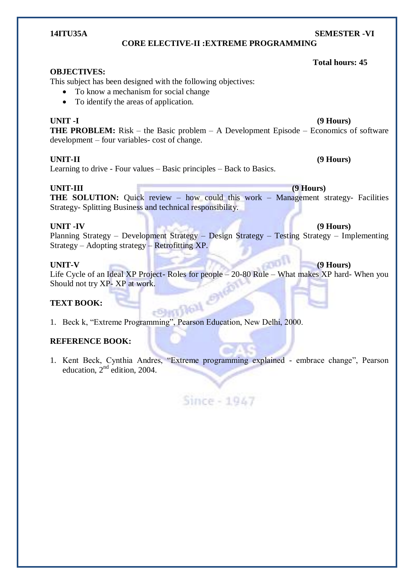### **CORE ELECTIVE-II :EXTREME PROGRAMMING**

#### **OBJECTIVES:**

This subject has been designed with the following objectives:

- To know a mechanism for social change
- To identify the areas of application.

**UNIT -I (9 Hours)**

**THE PROBLEM:** Risk – the Basic problem – A Development Episode – Economics of software development – four variables- cost of change.

### **UNIT-II (9 Hours)**

Learning to drive - Four values – Basic principles – Back to Basics.

**UNIT-III (9 Hours) THE SOLUTION:** Quick review – how could this work – Management strategy- Facilities Strategy- Splitting Business and technical responsibility.

### **UNIT -IV (9 Hours)**

Planning Strategy – Development Strategy – Design Strategy – Testing Strategy – Implementing Strategy – Adopting strategy – Retrofitting XP.

### **UNIT-V (9 Hours)**

Life Cycle of an Ideal XP Project- Roles for people – 20-80 Rule – What makes XP hard- When you Should not try XP- XP at work.<br>
TEXT BOOK:<br>
1. Beck k or

### **TEXT BOOK:**

1. Beck k, "Extreme Programming", Pearson Education, New Delhi, 2000.

### **REFERENCE BOOK:**

1. Kent Beck, Cynthia Andres, "Extreme programming explained - embrace change", Pearson education,  $2<sup>nd</sup>$  edition, 2004.



# **14ITU35A SEMESTER -VI**

 **Total hours: 45**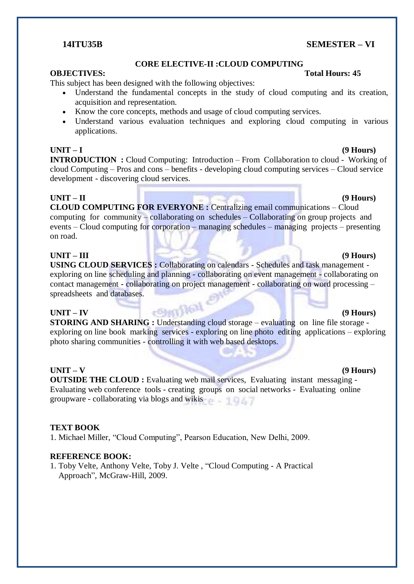# **14ITU35B SEMESTER – VI**

### **CORE ELECTIVE-II :CLOUD COMPUTING**

# **OBJECTIVES:** Total Hours: 45

This subject has been designed with the following objectives:

- Understand the fundamental concepts in the study of cloud computing and its creation, acquisition and representation.
- Know the core concepts, methods and usage of cloud computing services.
- Understand various evaluation techniques and exploring cloud computing in various applications.

### **UNIT – I (9 Hours)**

**INTRODUCTION :** Cloud Computing: Introduction – From Collaboration to cloud - Working of cloud Computing – Pros and cons – benefits - developing cloud computing services – Cloud service development - discovering cloud services.

### **UNIT – II (9 Hours)**

**CLOUD COMPUTING FOR EVERYONE :** Centralizing email communications – Cloud computing for community – collaborating on schedules – Collaborating on group projects and events – Cloud computing for corporation – managing schedules – managing projects – presenting on road.

## **UNIT – III (9 Hours)**

**USING CLOUD SERVICES : Collaborating on calendars - Schedules and task management** exploring on line scheduling and planning - collaborating on event management - collaborating on contact management - collaborating on project management - collaborating on word processing – spreadsheets and databases.

### **UNIT – IV (9 Hours)**

**STORING AND SHARING :** Understanding cloud storage – evaluating on line file storage exploring on line book marking services - exploring on line photo editing applications – exploring photo sharing communities - controlling it with web based desktops.

### **UNIT – V (9 Hours)**

**OUTSIDE THE CLOUD :** Evaluating web mail services, Evaluating instant messaging -Evaluating web conference tools - creating groups on social networks - Evaluating online groupware - collaborating via blogs and wikis

### **TEXT BOOK**

1. Michael Miller, "Cloud Computing", Pearson Education, New Delhi, 2009.

### **REFERENCE BOOK:**

1. Toby Velte, Anthony Velte, Toby J. Velte , "Cloud Computing - A Practical Approach", McGraw-Hill, 2009.